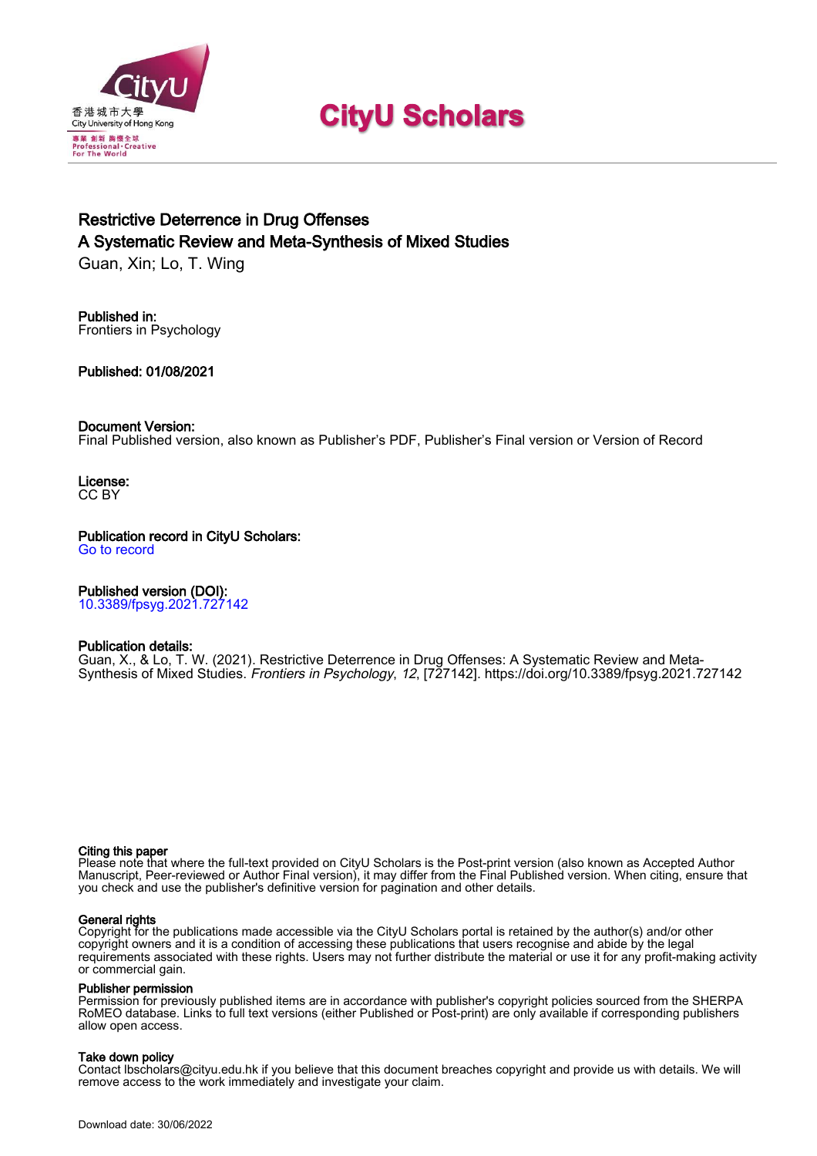

# **CityU Scholars**

# Restrictive Deterrence in Drug Offenses A Systematic Review and Meta-Synthesis of Mixed Studies

Guan, Xin; Lo, T. Wing

Published in: Frontiers in Psychology

Published: 01/08/2021

### Document Version:

Final Published version, also known as Publisher's PDF, Publisher's Final version or Version of Record

License: CC BY

Publication record in CityU Scholars:

[Go to record](https://scholars.cityu.edu.hk/en/publications/restrictive-deterrence-in-drug-offenses(ccf65470-9221-4cb0-83d2-6e9952b10461).html)

# Published version (DOI):

[10.3389/fpsyg.2021.727142](https://doi.org/10.3389/fpsyg.2021.727142)

#### Publication details:

[Guan, X.](https://scholars.cityu.edu.hk/en/persons/xin-guan(95677e02-ab09-42c3-b5fd-c0733b860ff0).html)[, & Lo, T. W.](https://scholars.cityu.edu.hk/en/persons/tit-wing-lo(9f9a9b50-e139-49f6-9ecb-5265781f5fd5).html) (2021). [Restrictive Deterrence in Drug Offenses: A Systematic Review and Meta-](https://scholars.cityu.edu.hk/en/publications/restrictive-deterrence-in-drug-offenses(ccf65470-9221-4cb0-83d2-6e9952b10461).html)[Synthesis of Mixed Studies.](https://scholars.cityu.edu.hk/en/publications/restrictive-deterrence-in-drug-offenses(ccf65470-9221-4cb0-83d2-6e9952b10461).html) [Frontiers in Psychology](https://scholars.cityu.edu.hk/en/journals/frontiers-in-psychology(15b2fdfd-5ce5-405a-ab79-75e136d29d8c)/publications.html), 12, [727142].<https://doi.org/10.3389/fpsyg.2021.727142>

#### Citing this paper

Please note that where the full-text provided on CityU Scholars is the Post-print version (also known as Accepted Author Manuscript, Peer-reviewed or Author Final version), it may differ from the Final Published version. When citing, ensure that you check and use the publisher's definitive version for pagination and other details.

#### General rights

Copyright for the publications made accessible via the CityU Scholars portal is retained by the author(s) and/or other copyright owners and it is a condition of accessing these publications that users recognise and abide by the legal requirements associated with these rights. Users may not further distribute the material or use it for any profit-making activity or commercial gain.

#### Publisher permission

Permission for previously published items are in accordance with publisher's copyright policies sourced from the SHERPA RoMEO database. Links to full text versions (either Published or Post-print) are only available if corresponding publishers allow open access.

# Take down policy

Contact lbscholars@cityu.edu.hk if you believe that this document breaches copyright and provide us with details. We will remove access to the work immediately and investigate your claim.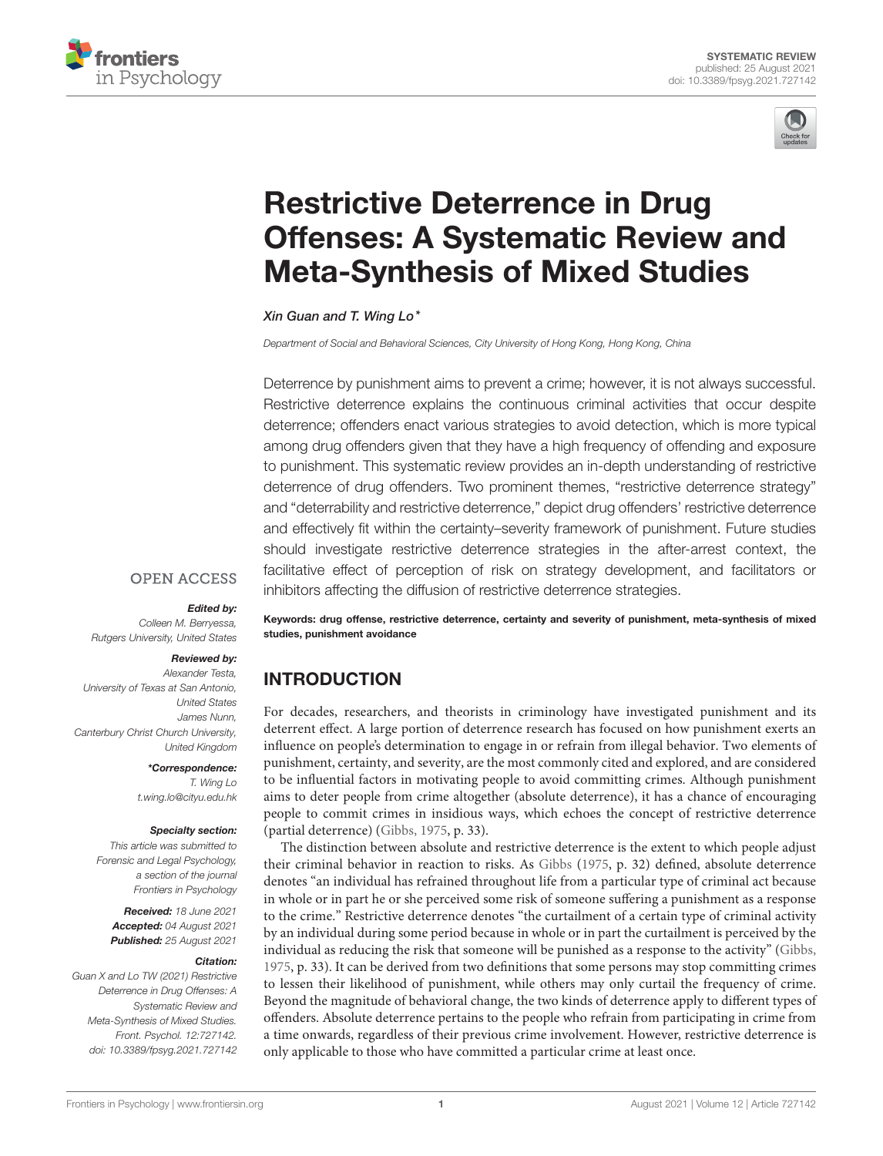



# Restrictive Deterrence in Drug [Offenses: A Systematic Review and](https://www.frontiersin.org/articles/10.3389/fpsyg.2021.727142/full) Meta-Synthesis of Mixed Studies

Xin Guan and T. Wing Lo\*

*Department of Social and Behavioral Sciences, City University of Hong Kong, Hong Kong, China*

Deterrence by punishment aims to prevent a crime; however, it is not always successful. Restrictive deterrence explains the continuous criminal activities that occur despite deterrence; offenders enact various strategies to avoid detection, which is more typical among drug offenders given that they have a high frequency of offending and exposure to punishment. This systematic review provides an in-depth understanding of restrictive deterrence of drug offenders. Two prominent themes, "restrictive deterrence strategy" and "deterrability and restrictive deterrence," depict drug offenders' restrictive deterrence and effectively fit within the certainty–severity framework of punishment. Future studies should investigate restrictive deterrence strategies in the after-arrest context, the facilitative effect of perception of risk on strategy development, and facilitators or inhibitors affecting the diffusion of restrictive deterrence strategies.

# **OPEN ACCESS**

#### Edited by:

*Colleen M. Berryessa, Rutgers University, United States*

#### Reviewed by:

*Alexander Testa, University of Texas at San Antonio, United States James Nunn, Canterbury Christ Church University, United Kingdom*

> \*Correspondence: *T. Wing Lo [t.wing.lo@cityu.edu.hk](mailto:t.wing.lo@cityu.edu.hk)*

#### Specialty section:

*This article was submitted to Forensic and Legal Psychology, a section of the journal Frontiers in Psychology*

Received: *18 June 2021* Accepted: *04 August 2021* Published: *25 August 2021*

#### Citation:

*Guan X and Lo TW (2021) Restrictive Deterrence in Drug Offenses: A Systematic Review and Meta-Synthesis of Mixed Studies. Front. Psychol. 12:727142. doi: [10.3389/fpsyg.2021.727142](https://doi.org/10.3389/fpsyg.2021.727142)* Keywords: drug offense, restrictive deterrence, certainty and severity of punishment, meta-synthesis of mixed studies, punishment avoidance

# INTRODUCTION

For decades, researchers, and theorists in criminology have investigated punishment and its deterrent effect. A large portion of deterrence research has focused on how punishment exerts an influence on people's determination to engage in or refrain from illegal behavior. Two elements of punishment, certainty, and severity, are the most commonly cited and explored, and are considered to be influential factors in motivating people to avoid committing crimes. Although punishment aims to deter people from crime altogether (absolute deterrence), it has a chance of encouraging people to commit crimes in insidious ways, which echoes the concept of restrictive deterrence (partial deterrence) [\(Gibbs, 1975,](#page-11-0) p. 33).

The distinction between absolute and restrictive deterrence is the extent to which people adjust their criminal behavior in reaction to risks. As [Gibbs](#page-11-0) [\(1975,](#page-11-0) p. 32) defined, absolute deterrence denotes "an individual has refrained throughout life from a particular type of criminal act because in whole or in part he or she perceived some risk of someone suffering a punishment as a response to the crime." Restrictive deterrence denotes "the curtailment of a certain type of criminal activity by an individual during some period because in whole or in part the curtailment is perceived by the individual as reducing the risk that someone will be punished as a response to the activity" [\(Gibbs,](#page-11-0) [1975,](#page-11-0) p. 33). It can be derived from two definitions that some persons may stop committing crimes to lessen their likelihood of punishment, while others may only curtail the frequency of crime. Beyond the magnitude of behavioral change, the two kinds of deterrence apply to different types of offenders. Absolute deterrence pertains to the people who refrain from participating in crime from a time onwards, regardless of their previous crime involvement. However, restrictive deterrence is only applicable to those who have committed a particular crime at least once.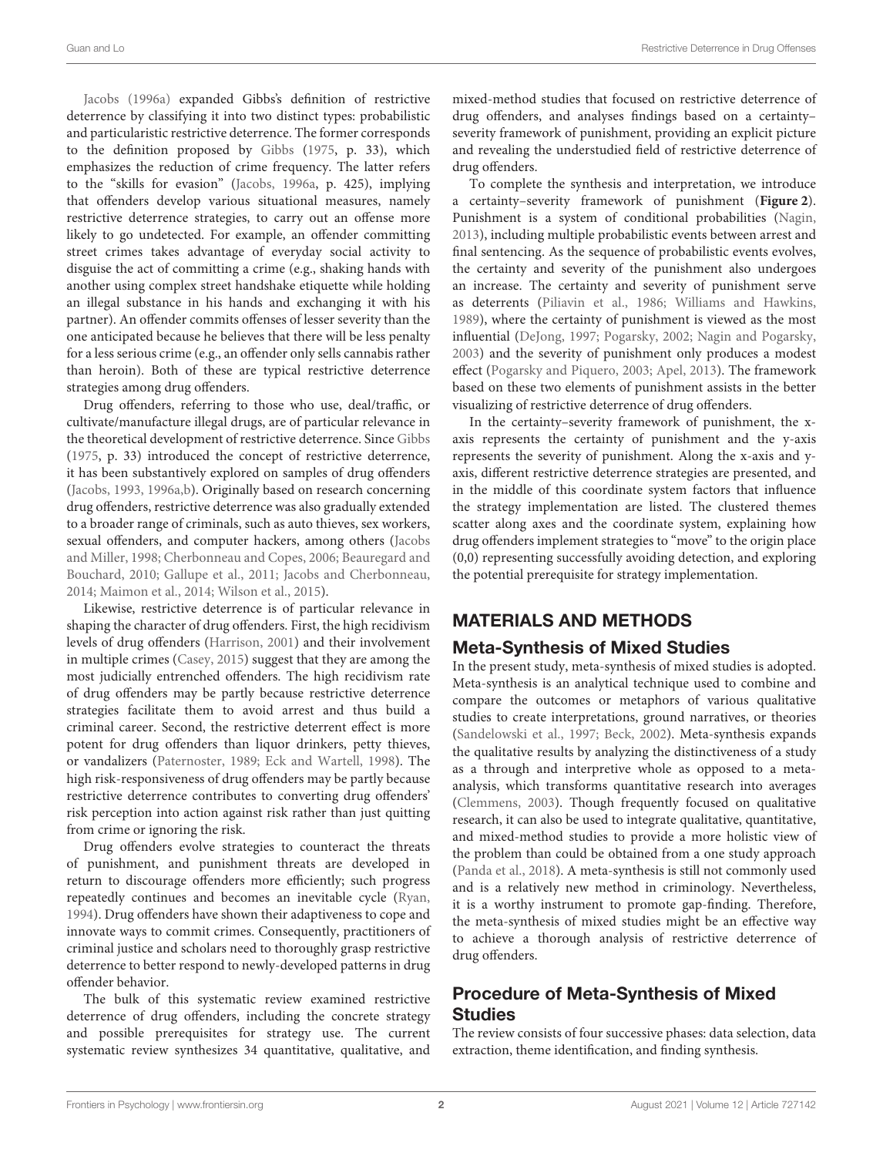[Jacobs \(1996a\)](#page-11-1) expanded Gibbs's definition of restrictive deterrence by classifying it into two distinct types: probabilistic and particularistic restrictive deterrence. The former corresponds to the definition proposed by [Gibbs](#page-11-0) [\(1975,](#page-11-0) p. 33), which emphasizes the reduction of crime frequency. The latter refers to the "skills for evasion" [\(Jacobs, 1996a,](#page-11-1) p. 425), implying that offenders develop various situational measures, namely restrictive deterrence strategies, to carry out an offense more likely to go undetected. For example, an offender committing street crimes takes advantage of everyday social activity to disguise the act of committing a crime (e.g., shaking hands with another using complex street handshake etiquette while holding an illegal substance in his hands and exchanging it with his partner). An offender commits offenses of lesser severity than the one anticipated because he believes that there will be less penalty for a less serious crime (e.g., an offender only sells cannabis rather than heroin). Both of these are typical restrictive deterrence strategies among drug offenders.

Drug offenders, referring to those who use, deal/traffic, or cultivate/manufacture illegal drugs, are of particular relevance in the theoretical development of restrictive deterrence. Since [Gibbs](#page-11-0) [\(1975,](#page-11-0) p. 33) introduced the concept of restrictive deterrence, it has been substantively explored on samples of drug offenders [\(Jacobs, 1993,](#page-11-2) [1996a,](#page-11-1)[b\)](#page-11-3). Originally based on research concerning drug offenders, restrictive deterrence was also gradually extended to a broader range of criminals, such as auto thieves, sex workers, sexual offenders, and computer hackers, among others (Jacobs and Miller, [1998;](#page-11-4) [Cherbonneau and Copes, 2006;](#page-11-5) Beauregard and Bouchard, [2010;](#page-11-6) [Gallupe et al., 2011;](#page-11-7) [Jacobs and Cherbonneau,](#page-11-8) [2014;](#page-11-8) [Maimon et al., 2014;](#page-12-0) [Wilson et al., 2015\)](#page-12-1).

Likewise, restrictive deterrence is of particular relevance in shaping the character of drug offenders. First, the high recidivism levels of drug offenders [\(Harrison, 2001\)](#page-11-9) and their involvement in multiple crimes [\(Casey, 2015\)](#page-11-10) suggest that they are among the most judicially entrenched offenders. The high recidivism rate of drug offenders may be partly because restrictive deterrence strategies facilitate them to avoid arrest and thus build a criminal career. Second, the restrictive deterrent effect is more potent for drug offenders than liquor drinkers, petty thieves, or vandalizers [\(Paternoster, 1989;](#page-12-2) [Eck and Wartell, 1998\)](#page-11-11). The high risk-responsiveness of drug offenders may be partly because restrictive deterrence contributes to converting drug offenders' risk perception into action against risk rather than just quitting from crime or ignoring the risk.

Drug offenders evolve strategies to counteract the threats of punishment, and punishment threats are developed in return to discourage offenders more efficiently; such progress repeatedly continues and becomes an inevitable cycle [\(Ryan,](#page-12-3) [1994\)](#page-12-3). Drug offenders have shown their adaptiveness to cope and innovate ways to commit crimes. Consequently, practitioners of criminal justice and scholars need to thoroughly grasp restrictive deterrence to better respond to newly-developed patterns in drug offender behavior.

The bulk of this systematic review examined restrictive deterrence of drug offenders, including the concrete strategy and possible prerequisites for strategy use. The current systematic review synthesizes 34 quantitative, qualitative, and

mixed-method studies that focused on restrictive deterrence of drug offenders, and analyses findings based on a certainty– severity framework of punishment, providing an explicit picture and revealing the understudied field of restrictive deterrence of drug offenders.

To complete the synthesis and interpretation, we introduce a certainty–severity framework of punishment (**[Figure 2](#page-4-0)**). Punishment is a system of conditional probabilities [\(Nagin,](#page-12-4) [2013\)](#page-12-4), including multiple probabilistic events between arrest and final sentencing. As the sequence of probabilistic events evolves, the certainty and severity of the punishment also undergoes an increase. The certainty and severity of punishment serve as deterrents [\(Piliavin et al., 1986;](#page-12-5) [Williams and Hawkins,](#page-12-6) [1989\)](#page-12-6), where the certainty of punishment is viewed as the most influential [\(DeJong, 1997;](#page-11-12) [Pogarsky, 2002;](#page-12-7) [Nagin and Pogarsky,](#page-12-8) [2003\)](#page-12-8) and the severity of punishment only produces a modest effect [\(Pogarsky and Piquero, 2003;](#page-12-9) [Apel, 2013\)](#page-11-13). The framework based on these two elements of punishment assists in the better visualizing of restrictive deterrence of drug offenders.

In the certainty–severity framework of punishment, the xaxis represents the certainty of punishment and the y-axis represents the severity of punishment. Along the x-axis and yaxis, different restrictive deterrence strategies are presented, and in the middle of this coordinate system factors that influence the strategy implementation are listed. The clustered themes scatter along axes and the coordinate system, explaining how drug offenders implement strategies to "move" to the origin place (0,0) representing successfully avoiding detection, and exploring the potential prerequisite for strategy implementation.

# MATERIALS AND METHODS

# Meta-Synthesis of Mixed Studies

In the present study, meta-synthesis of mixed studies is adopted. Meta-synthesis is an analytical technique used to combine and compare the outcomes or metaphors of various qualitative studies to create interpretations, ground narratives, or theories [\(Sandelowski et al., 1997;](#page-12-10) [Beck, 2002\)](#page-11-14). Meta-synthesis expands the qualitative results by analyzing the distinctiveness of a study as a through and interpretive whole as opposed to a metaanalysis, which transforms quantitative research into averages [\(Clemmens, 2003\)](#page-11-15). Though frequently focused on qualitative research, it can also be used to integrate qualitative, quantitative, and mixed-method studies to provide a more holistic view of the problem than could be obtained from a one study approach [\(Panda et al., 2018\)](#page-12-11). A meta-synthesis is still not commonly used and is a relatively new method in criminology. Nevertheless, it is a worthy instrument to promote gap-finding. Therefore, the meta-synthesis of mixed studies might be an effective way to achieve a thorough analysis of restrictive deterrence of drug offenders.

# Procedure of Meta-Synthesis of Mixed **Studies**

The review consists of four successive phases: data selection, data extraction, theme identification, and finding synthesis.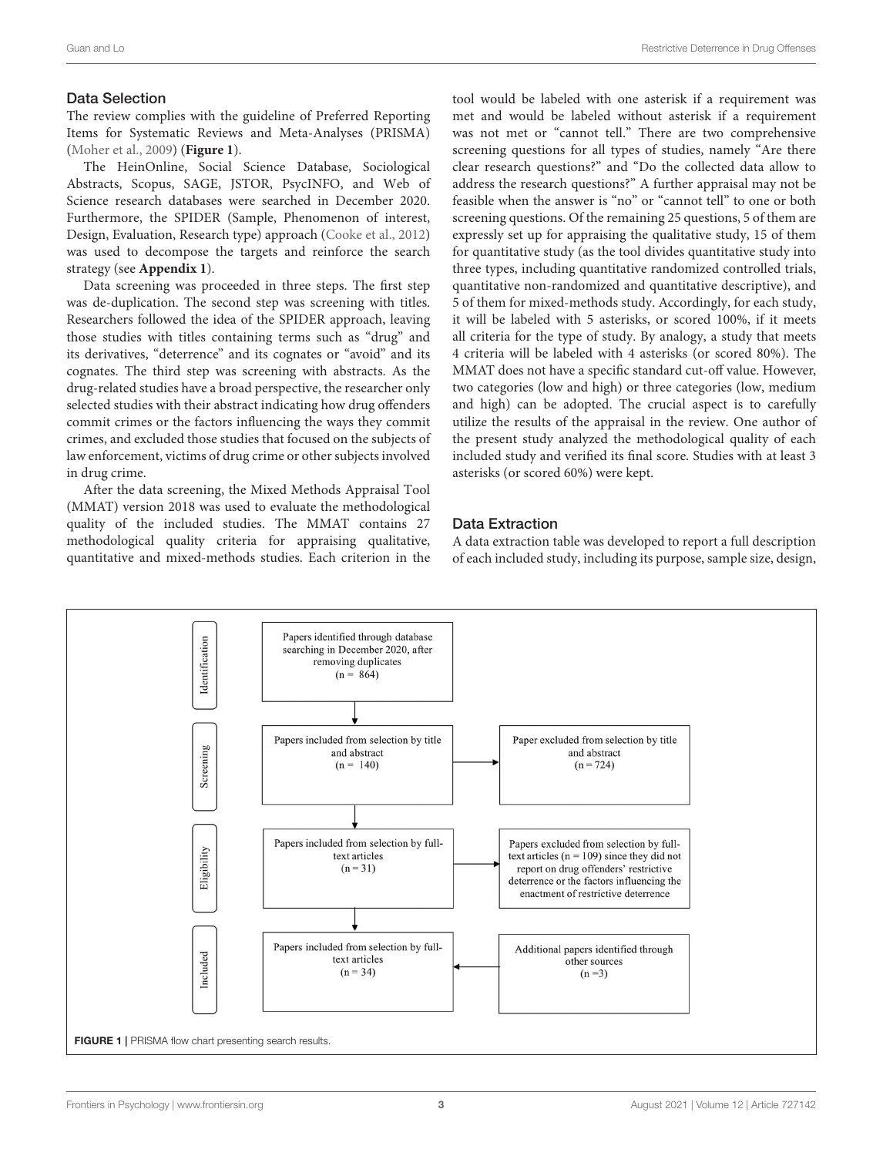#### Data Selection

The review complies with the guideline of Preferred Reporting Items for Systematic Reviews and Meta-Analyses (PRISMA) [\(Moher et al., 2009\)](#page-12-12) (**[Figure 1](#page-3-0)**).

The HeinOnline, Social Science Database, Sociological Abstracts, Scopus, SAGE, JSTOR, PsycINFO, and Web of Science research databases were searched in December 2020. Furthermore, the SPIDER (Sample, Phenomenon of interest, Design, Evaluation, Research type) approach [\(Cooke et al., 2012\)](#page-11-16) was used to decompose the targets and reinforce the search strategy (see **[Appendix 1](#page-11-17)**).

Data screening was proceeded in three steps. The first step was de-duplication. The second step was screening with titles. Researchers followed the idea of the SPIDER approach, leaving those studies with titles containing terms such as "drug" and its derivatives, "deterrence" and its cognates or "avoid" and its cognates. The third step was screening with abstracts. As the drug-related studies have a broad perspective, the researcher only selected studies with their abstract indicating how drug offenders commit crimes or the factors influencing the ways they commit crimes, and excluded those studies that focused on the subjects of law enforcement, victims of drug crime or other subjects involved in drug crime.

After the data screening, the Mixed Methods Appraisal Tool (MMAT) version 2018 was used to evaluate the methodological quality of the included studies. The MMAT contains 27 methodological quality criteria for appraising qualitative, quantitative and mixed-methods studies. Each criterion in the tool would be labeled with one asterisk if a requirement was met and would be labeled without asterisk if a requirement was not met or "cannot tell." There are two comprehensive screening questions for all types of studies, namely "Are there clear research questions?" and "Do the collected data allow to address the research questions?" A further appraisal may not be feasible when the answer is "no" or "cannot tell" to one or both screening questions. Of the remaining 25 questions, 5 of them are expressly set up for appraising the qualitative study, 15 of them for quantitative study (as the tool divides quantitative study into three types, including quantitative randomized controlled trials, quantitative non-randomized and quantitative descriptive), and 5 of them for mixed-methods study. Accordingly, for each study, it will be labeled with 5 asterisks, or scored 100%, if it meets all criteria for the type of study. By analogy, a study that meets 4 criteria will be labeled with 4 asterisks (or scored 80%). The MMAT does not have a specific standard cut-off value. However, two categories (low and high) or three categories (low, medium and high) can be adopted. The crucial aspect is to carefully utilize the results of the appraisal in the review. One author of the present study analyzed the methodological quality of each included study and verified its final score. Studies with at least 3 asterisks (or scored 60%) were kept.

### Data Extraction

A data extraction table was developed to report a full description of each included study, including its purpose, sample size, design,

<span id="page-3-0"></span>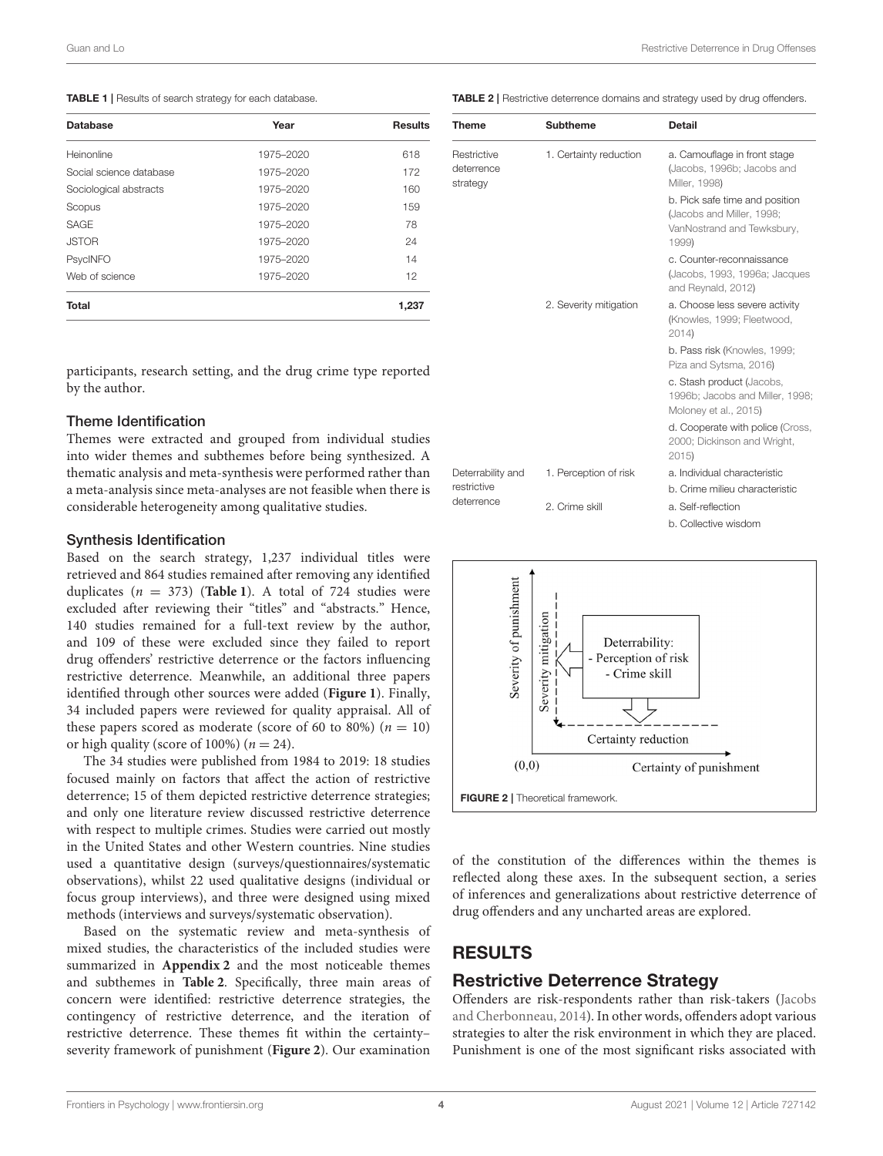<span id="page-4-1"></span>TABLE 1 | Results of search strategy for each database.

| <b>Database</b>         | Year      | <b>Results</b> |
|-------------------------|-----------|----------------|
| Heinonline              | 1975-2020 | 618            |
| Social science database | 1975-2020 | 172            |
| Sociological abstracts  | 1975-2020 | 160            |
| Scopus                  | 1975-2020 | 159            |
| SAGE                    | 1975-2020 | 78             |
| <b>JSTOR</b>            | 1975-2020 | 24             |
| PsycINFO                | 1975-2020 | 14             |
| Web of science          | 1975-2020 | 12             |
| <b>Total</b>            |           | 1,237          |

participants, research setting, and the drug crime type reported by the author.

#### Theme Identification

Themes were extracted and grouped from individual studies into wider themes and subthemes before being synthesized. A thematic analysis and meta-synthesis were performed rather than a meta-analysis since meta-analyses are not feasible when there is considerable heterogeneity among qualitative studies.

#### Synthesis Identification

Based on the search strategy, 1,237 individual titles were retrieved and 864 studies remained after removing any identified duplicates ( $n = 373$ ) (**[Table 1](#page-4-1)**). A total of 724 studies were excluded after reviewing their "titles" and "abstracts." Hence, 140 studies remained for a full-text review by the author, and 109 of these were excluded since they failed to report drug offenders' restrictive deterrence or the factors influencing restrictive deterrence. Meanwhile, an additional three papers identified through other sources were added (**[Figure 1](#page-3-0)**). Finally, 34 included papers were reviewed for quality appraisal. All of these papers scored as moderate (score of 60 to 80%) ( $n = 10$ ) or high quality (score of 100%) ( $n = 24$ ).

The 34 studies were published from 1984 to 2019: 18 studies focused mainly on factors that affect the action of restrictive deterrence; 15 of them depicted restrictive deterrence strategies; and only one literature review discussed restrictive deterrence with respect to multiple crimes. Studies were carried out mostly in the United States and other Western countries. Nine studies used a quantitative design (surveys/questionnaires/systematic observations), whilst 22 used qualitative designs (individual or focus group interviews), and three were designed using mixed methods (interviews and surveys/systematic observation).

Based on the systematic review and meta-synthesis of mixed studies, the characteristics of the included studies were summarized in **[Appendix 2](#page-11-17)** and the most noticeable themes and subthemes in **[Table 2](#page-4-2)**. Specifically, three main areas of concern were identified: restrictive deterrence strategies, the contingency of restrictive deterrence, and the iteration of restrictive deterrence. These themes fit within the certainty– severity framework of punishment (**[Figure 2](#page-4-0)**). Our examination <span id="page-4-2"></span>TABLE 2 | Restrictive deterrence domains and strategy used by drug offenders.

| <b>Theme</b>                                   | <b>Subtheme</b>        | <b>Detail</b>                                                                                      |
|------------------------------------------------|------------------------|----------------------------------------------------------------------------------------------------|
| Restrictive<br>deterrence<br>strategy          | 1. Certainty reduction | a. Camouflage in front stage<br>(Jacobs, 1996b; Jacobs and<br>Miller, 1998)                        |
|                                                |                        | b. Pick safe time and position<br>(Jacobs and Miller, 1998;<br>VanNostrand and Tewksbury,<br>1999) |
|                                                |                        | c. Counter-reconnaissance<br>(Jacobs, 1993, 1996a; Jacques<br>and Reynald, 2012)                   |
|                                                | 2. Severity mitigation | a. Choose less severe activity<br>(Knowles, 1999; Fleetwood,<br>2014                               |
|                                                |                        | b. Pass risk (Knowles, 1999;<br>Piza and Sytsma, 2016)                                             |
|                                                |                        | c. Stash product (Jacobs,<br>1996b; Jacobs and Miller, 1998;<br>Moloney et al., 2015)              |
|                                                |                        | d. Cooperate with police (Cross,<br>2000; Dickinson and Wright,<br>2015)                           |
| Deterrability and<br>restrictive<br>deterrence | 1. Perception of risk  | a. Individual characteristic                                                                       |
|                                                |                        | b. Crime milieu characteristic                                                                     |
|                                                | 2. Crime skill         | a. Self-reflection                                                                                 |
|                                                |                        | b. Collective wisdom                                                                               |



<span id="page-4-0"></span>of the constitution of the differences within the themes is reflected along these axes. In the subsequent section, a series of inferences and generalizations about restrictive deterrence of drug offenders and any uncharted areas are explored.

# RESULTS

# Restrictive Deterrence Strategy

Offenders are risk-respondents rather than risk-takers (Jacobs and Cherbonneau, [2014\)](#page-11-8). In other words, offenders adopt various strategies to alter the risk environment in which they are placed. Punishment is one of the most significant risks associated with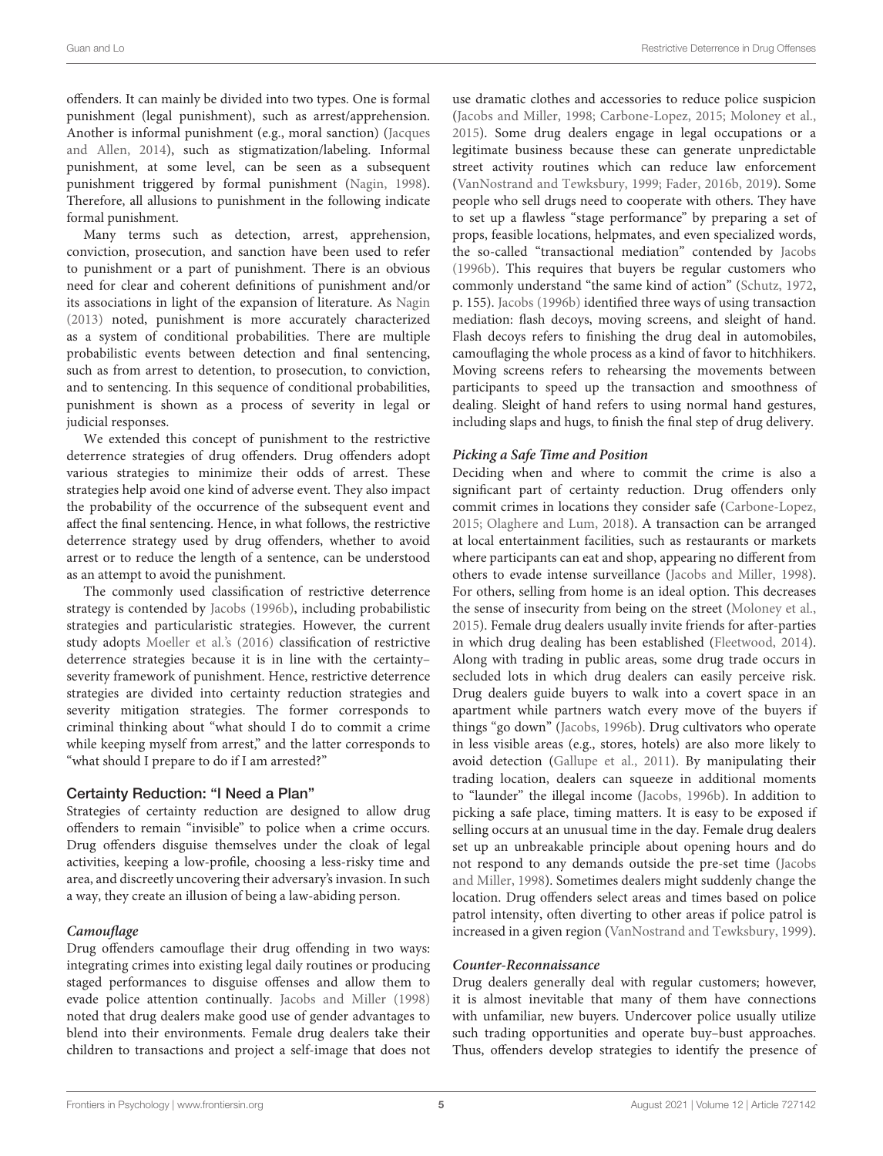offenders. It can mainly be divided into two types. One is formal punishment (legal punishment), such as arrest/apprehension. Another is informal punishment (e.g., moral sanction) (Jacques and Allen, [2014\)](#page-11-21), such as stigmatization/labeling. Informal punishment, at some level, can be seen as a subsequent punishment triggered by formal punishment [\(Nagin, 1998\)](#page-12-18). Therefore, all allusions to punishment in the following indicate formal punishment.

Many terms such as detection, arrest, apprehension, conviction, prosecution, and sanction have been used to refer to punishment or a part of punishment. There is an obvious need for clear and coherent definitions of punishment and/or its associations in light of the expansion of literature. As [Nagin](#page-12-4) [\(2013\)](#page-12-4) noted, punishment is more accurately characterized as a system of conditional probabilities. There are multiple probabilistic events between detection and final sentencing, such as from arrest to detention, to prosecution, to conviction, and to sentencing. In this sequence of conditional probabilities, punishment is shown as a process of severity in legal or judicial responses.

We extended this concept of punishment to the restrictive deterrence strategies of drug offenders. Drug offenders adopt various strategies to minimize their odds of arrest. These strategies help avoid one kind of adverse event. They also impact the probability of the occurrence of the subsequent event and affect the final sentencing. Hence, in what follows, the restrictive deterrence strategy used by drug offenders, whether to avoid arrest or to reduce the length of a sentence, can be understood as an attempt to avoid the punishment.

The commonly used classification of restrictive deterrence strategy is contended by [Jacobs \(1996b\)](#page-11-3), including probabilistic strategies and particularistic strategies. However, the current study adopts [Moeller et al.'s \(2016\)](#page-12-19) classification of restrictive deterrence strategies because it is in line with the certainty– severity framework of punishment. Hence, restrictive deterrence strategies are divided into certainty reduction strategies and severity mitigation strategies. The former corresponds to criminal thinking about "what should I do to commit a crime while keeping myself from arrest," and the latter corresponds to "what should I prepare to do if I am arrested?"

# Certainty Reduction: "I Need a Plan"

Strategies of certainty reduction are designed to allow drug offenders to remain "invisible" to police when a crime occurs. Drug offenders disguise themselves under the cloak of legal activities, keeping a low-profile, choosing a less-risky time and area, and discreetly uncovering their adversary's invasion. In such a way, they create an illusion of being a law-abiding person.

# **Camouflage**

Drug offenders camouflage their drug offending in two ways: integrating crimes into existing legal daily routines or producing staged performances to disguise offenses and allow them to evade police attention continually. [Jacobs and Miller \(1998\)](#page-11-4) noted that drug dealers make good use of gender advantages to blend into their environments. Female drug dealers take their children to transactions and project a self-image that does not use dramatic clothes and accessories to reduce police suspicion [\(Jacobs and Miller, 1998;](#page-11-4) [Carbone-Lopez, 2015;](#page-11-22) [Moloney et al.,](#page-12-17) [2015\)](#page-12-17). Some drug dealers engage in legal occupations or a legitimate business because these can generate unpredictable street activity routines which can reduce law enforcement [\(VanNostrand and Tewksbury, 1999;](#page-12-13) [Fader, 2016b,](#page-11-23) [2019\)](#page-11-24). Some people who sell drugs need to cooperate with others. They have to set up a flawless "stage performance" by preparing a set of props, feasible locations, helpmates, and even specialized words, the so-called "transactional mediation" contended by [Jacobs](#page-11-3) [\(1996b\)](#page-11-3). This requires that buyers be regular customers who commonly understand "the same kind of action" [\(Schutz, 1972,](#page-12-20) p. 155). [Jacobs \(1996b\)](#page-11-3) identified three ways of using transaction mediation: flash decoys, moving screens, and sleight of hand. Flash decoys refers to finishing the drug deal in automobiles, camouflaging the whole process as a kind of favor to hitchhikers. Moving screens refers to rehearsing the movements between participants to speed up the transaction and smoothness of dealing. Sleight of hand refers to using normal hand gestures, including slaps and hugs, to finish the final step of drug delivery.

# **Picking a Safe Time and Position**

Deciding when and where to commit the crime is also a significant part of certainty reduction. Drug offenders only commit crimes in locations they consider safe [\(Carbone-Lopez,](#page-11-22) [2015;](#page-11-22) [Olaghere and Lum, 2018\)](#page-12-21). A transaction can be arranged at local entertainment facilities, such as restaurants or markets where participants can eat and shop, appearing no different from others to evade intense surveillance [\(Jacobs and Miller, 1998\)](#page-11-4). For others, selling from home is an ideal option. This decreases the sense of insecurity from being on the street [\(Moloney et al.,](#page-12-17) [2015\)](#page-12-17). Female drug dealers usually invite friends for after-parties in which drug dealing has been established [\(Fleetwood, 2014\)](#page-11-18). Along with trading in public areas, some drug trade occurs in secluded lots in which drug dealers can easily perceive risk. Drug dealers guide buyers to walk into a covert space in an apartment while partners watch every move of the buyers if things "go down" [\(Jacobs, 1996b\)](#page-11-3). Drug cultivators who operate in less visible areas (e.g., stores, hotels) are also more likely to avoid detection [\(Gallupe et al., 2011\)](#page-11-7). By manipulating their trading location, dealers can squeeze in additional moments to "launder" the illegal income [\(Jacobs, 1996b\)](#page-11-3). In addition to picking a safe place, timing matters. It is easy to be exposed if selling occurs at an unusual time in the day. Female drug dealers set up an unbreakable principle about opening hours and do not respond to any demands outside the pre-set time (Jacobs and Miller, [1998\)](#page-11-4). Sometimes dealers might suddenly change the location. Drug offenders select areas and times based on police patrol intensity, often diverting to other areas if police patrol is increased in a given region [\(VanNostrand and Tewksbury, 1999\)](#page-12-13).

#### **Counter-Reconnaissance**

Drug dealers generally deal with regular customers; however, it is almost inevitable that many of them have connections with unfamiliar, new buyers. Undercover police usually utilize such trading opportunities and operate buy–bust approaches. Thus, offenders develop strategies to identify the presence of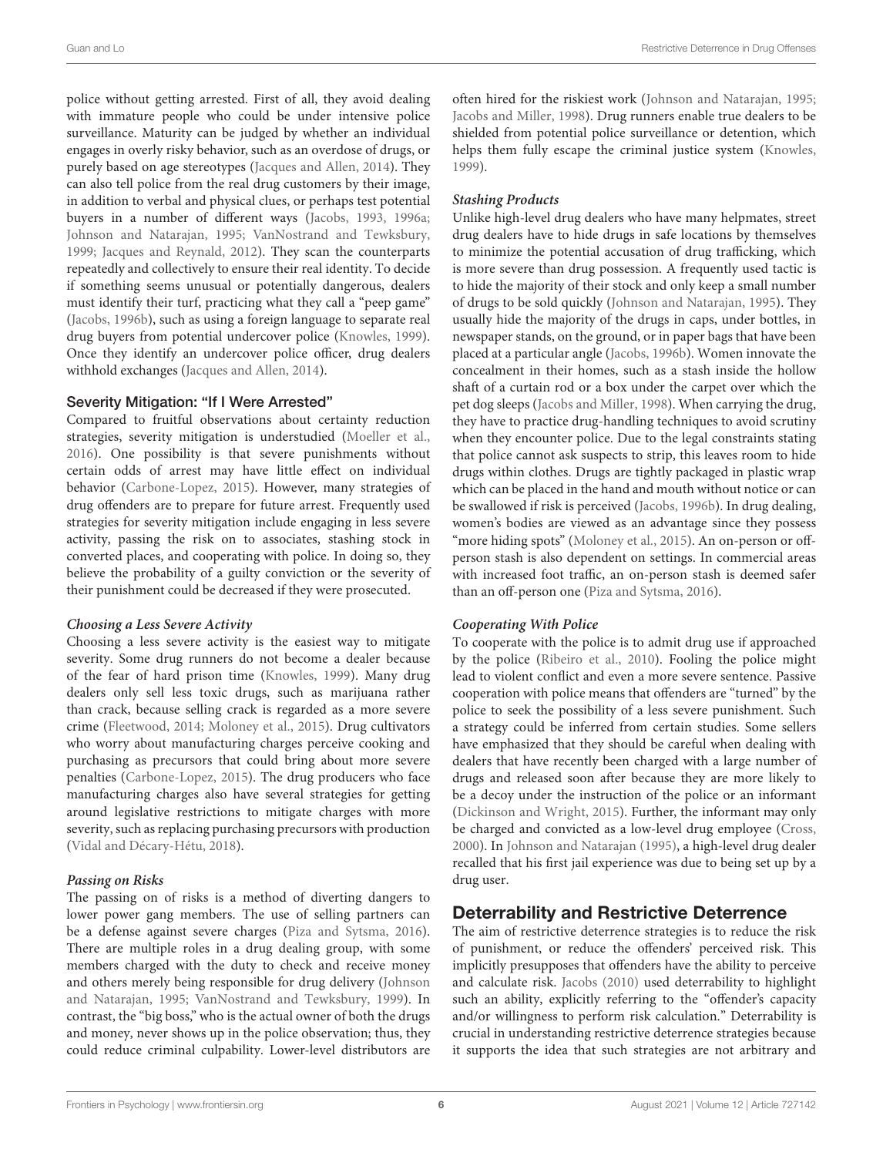police without getting arrested. First of all, they avoid dealing with immature people who could be under intensive police surveillance. Maturity can be judged by whether an individual engages in overly risky behavior, such as an overdose of drugs, or purely based on age stereotypes [\(Jacques and Allen, 2014\)](#page-11-21). They can also tell police from the real drug customers by their image, in addition to verbal and physical clues, or perhaps test potential buyers in a number of different ways [\(Jacobs, 1993,](#page-11-2) [1996a;](#page-11-1) [Johnson and Natarajan, 1995;](#page-12-22) [VanNostrand and Tewksbury,](#page-12-13) [1999;](#page-12-13) [Jacques and Reynald, 2012\)](#page-12-14). They scan the counterparts repeatedly and collectively to ensure their real identity. To decide if something seems unusual or potentially dangerous, dealers must identify their turf, practicing what they call a "peep game" [\(Jacobs, 1996b\)](#page-11-3), such as using a foreign language to separate real drug buyers from potential undercover police [\(Knowles, 1999\)](#page-12-15). Once they identify an undercover police officer, drug dealers withhold exchanges [\(Jacques and Allen, 2014\)](#page-11-21).

#### Severity Mitigation: "If I Were Arrested"

Compared to fruitful observations about certainty reduction strategies, severity mitigation is understudied [\(Moeller et al.,](#page-12-19) [2016\)](#page-12-19). One possibility is that severe punishments without certain odds of arrest may have little effect on individual behavior [\(Carbone-Lopez, 2015\)](#page-11-22). However, many strategies of drug offenders are to prepare for future arrest. Frequently used strategies for severity mitigation include engaging in less severe activity, passing the risk on to associates, stashing stock in converted places, and cooperating with police. In doing so, they believe the probability of a guilty conviction or the severity of their punishment could be decreased if they were prosecuted.

#### **Choosing a Less Severe Activity**

Choosing a less severe activity is the easiest way to mitigate severity. Some drug runners do not become a dealer because of the fear of hard prison time [\(Knowles, 1999\)](#page-12-15). Many drug dealers only sell less toxic drugs, such as marijuana rather than crack, because selling crack is regarded as a more severe crime [\(Fleetwood, 2014;](#page-11-18) [Moloney et al., 2015\)](#page-12-17). Drug cultivators who worry about manufacturing charges perceive cooking and purchasing as precursors that could bring about more severe penalties [\(Carbone-Lopez, 2015\)](#page-11-22). The drug producers who face manufacturing charges also have several strategies for getting around legislative restrictions to mitigate charges with more severity, such as replacing purchasing precursors with production [\(Vidal and Décary-Hétu, 2018\)](#page-12-23).

# **Passing on Risks**

The passing on of risks is a method of diverting dangers to lower power gang members. The use of selling partners can be a defense against severe charges [\(Piza and Sytsma, 2016\)](#page-12-16). There are multiple roles in a drug dealing group, with some members charged with the duty to check and receive money and others merely being responsible for drug delivery (Johnson and Natarajan, [1995;](#page-12-22) [VanNostrand and Tewksbury, 1999\)](#page-12-13). In contrast, the "big boss," who is the actual owner of both the drugs and money, never shows up in the police observation; thus, they could reduce criminal culpability. Lower-level distributors are often hired for the riskiest work [\(Johnson and Natarajan, 1995;](#page-12-22) [Jacobs and Miller, 1998\)](#page-11-4). Drug runners enable true dealers to be shielded from potential police surveillance or detention, which helps them fully escape the criminal justice system [\(Knowles,](#page-12-15) [1999\)](#page-12-15).

# **Stashing Products**

Unlike high-level drug dealers who have many helpmates, street drug dealers have to hide drugs in safe locations by themselves to minimize the potential accusation of drug trafficking, which is more severe than drug possession. A frequently used tactic is to hide the majority of their stock and only keep a small number of drugs to be sold quickly [\(Johnson and Natarajan, 1995\)](#page-12-22). They usually hide the majority of the drugs in caps, under bottles, in newspaper stands, on the ground, or in paper bags that have been placed at a particular angle [\(Jacobs, 1996b\)](#page-11-3). Women innovate the concealment in their homes, such as a stash inside the hollow shaft of a curtain rod or a box under the carpet over which the pet dog sleeps [\(Jacobs and Miller, 1998\)](#page-11-4). When carrying the drug, they have to practice drug-handling techniques to avoid scrutiny when they encounter police. Due to the legal constraints stating that police cannot ask suspects to strip, this leaves room to hide drugs within clothes. Drugs are tightly packaged in plastic wrap which can be placed in the hand and mouth without notice or can be swallowed if risk is perceived [\(Jacobs, 1996b\)](#page-11-3). In drug dealing, women's bodies are viewed as an advantage since they possess "more hiding spots" [\(Moloney et al., 2015\)](#page-12-17). An on-person or offperson stash is also dependent on settings. In commercial areas with increased foot traffic, an on-person stash is deemed safer than an off-person one [\(Piza and Sytsma, 2016\)](#page-12-16).

# **Cooperating With Police**

To cooperate with the police is to admit drug use if approached by the police [\(Ribeiro et al., 2010\)](#page-12-24). Fooling the police might lead to violent conflict and even a more severe sentence. Passive cooperation with police means that offenders are "turned" by the police to seek the possibility of a less severe punishment. Such a strategy could be inferred from certain studies. Some sellers have emphasized that they should be careful when dealing with dealers that have recently been charged with a large number of drugs and released soon after because they are more likely to be a decoy under the instruction of the police or an informant [\(Dickinson and Wright, 2015\)](#page-11-20). Further, the informant may only be charged and convicted as a low-level drug employee [\(Cross,](#page-11-19) [2000\)](#page-11-19). In [Johnson and Natarajan \(1995\)](#page-12-22), a high-level drug dealer recalled that his first jail experience was due to being set up by a drug user.

# Deterrability and Restrictive Deterrence

The aim of restrictive deterrence strategies is to reduce the risk of punishment, or reduce the offenders' perceived risk. This implicitly presupposes that offenders have the ability to perceive and calculate risk. [Jacobs \(2010\)](#page-11-25) used deterrability to highlight such an ability, explicitly referring to the "offender's capacity and/or willingness to perform risk calculation." Deterrability is crucial in understanding restrictive deterrence strategies because it supports the idea that such strategies are not arbitrary and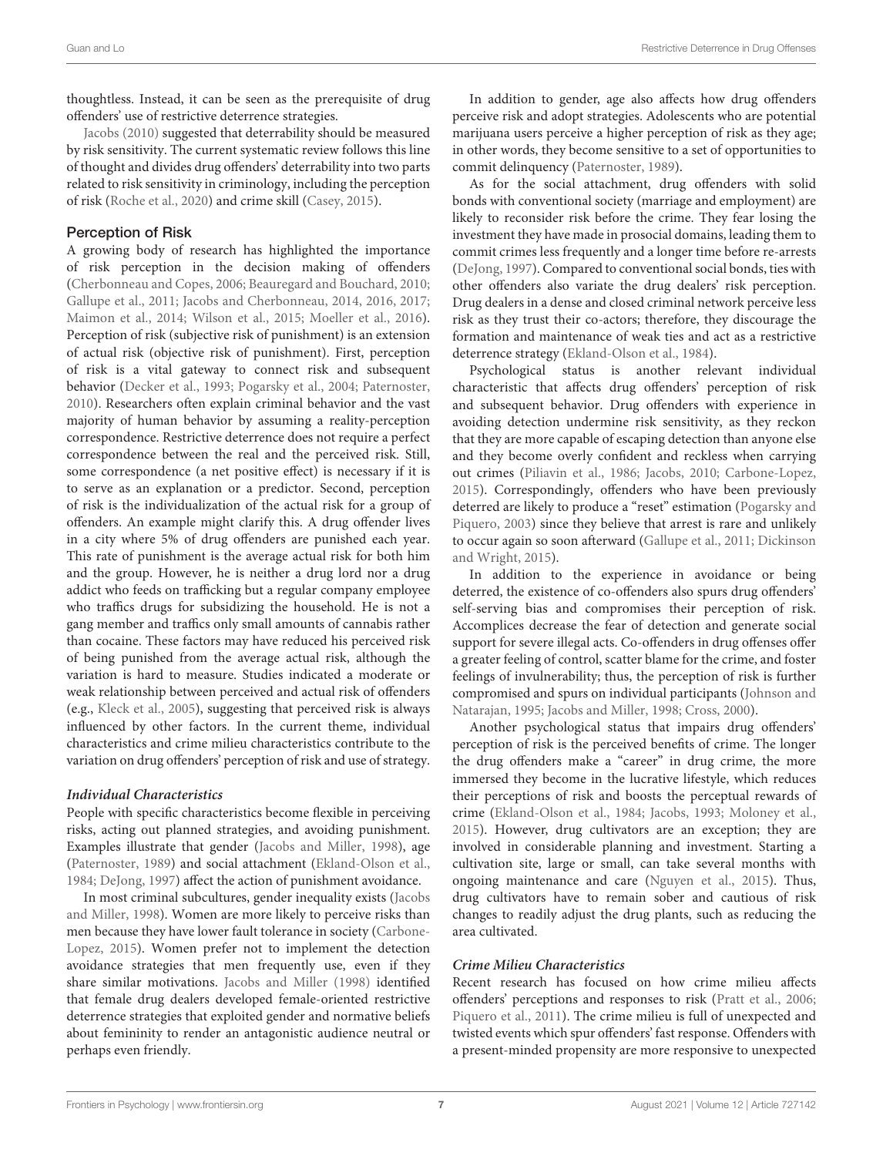thoughtless. Instead, it can be seen as the prerequisite of drug offenders' use of restrictive deterrence strategies.

[Jacobs \(2010\)](#page-11-25) suggested that deterrability should be measured by risk sensitivity. The current systematic review follows this line of thought and divides drug offenders' deterrability into two parts related to risk sensitivity in criminology, including the perception of risk [\(Roche et al., 2020\)](#page-12-25) and crime skill [\(Casey, 2015\)](#page-11-10).

### Perception of Risk

A growing body of research has highlighted the importance of risk perception in the decision making of offenders [\(Cherbonneau and Copes, 2006;](#page-11-5) [Beauregard and Bouchard, 2010;](#page-11-6) [Gallupe et al., 2011;](#page-11-7) [Jacobs and Cherbonneau, 2014,](#page-11-8) [2016,](#page-11-26) [2017;](#page-11-27) [Maimon et al., 2014;](#page-12-0) [Wilson et al., 2015;](#page-12-1) [Moeller et al., 2016\)](#page-12-19). Perception of risk (subjective risk of punishment) is an extension of actual risk (objective risk of punishment). First, perception of risk is a vital gateway to connect risk and subsequent behavior [\(Decker et al., 1993;](#page-11-28) [Pogarsky et al., 2004;](#page-12-26) [Paternoster,](#page-12-27) [2010\)](#page-12-27). Researchers often explain criminal behavior and the vast majority of human behavior by assuming a reality-perception correspondence. Restrictive deterrence does not require a perfect correspondence between the real and the perceived risk. Still, some correspondence (a net positive effect) is necessary if it is to serve as an explanation or a predictor. Second, perception of risk is the individualization of the actual risk for a group of offenders. An example might clarify this. A drug offender lives in a city where 5% of drug offenders are punished each year. This rate of punishment is the average actual risk for both him and the group. However, he is neither a drug lord nor a drug addict who feeds on trafficking but a regular company employee who traffics drugs for subsidizing the household. He is not a gang member and traffics only small amounts of cannabis rather than cocaine. These factors may have reduced his perceived risk of being punished from the average actual risk, although the variation is hard to measure. Studies indicated a moderate or weak relationship between perceived and actual risk of offenders (e.g., [Kleck et al., 2005\)](#page-12-28), suggesting that perceived risk is always influenced by other factors. In the current theme, individual characteristics and crime milieu characteristics contribute to the variation on drug offenders' perception of risk and use of strategy.

#### **Individual Characteristics**

People with specific characteristics become flexible in perceiving risks, acting out planned strategies, and avoiding punishment. Examples illustrate that gender [\(Jacobs and Miller, 1998\)](#page-11-4), age [\(Paternoster, 1989\)](#page-12-2) and social attachment [\(Ekland-Olson et al.,](#page-11-29) [1984;](#page-11-29) [DeJong, 1997\)](#page-11-12) affect the action of punishment avoidance.

In most criminal subcultures, gender inequality exists (Jacobs and Miller, [1998\)](#page-11-4). Women are more likely to perceive risks than men because they have lower fault tolerance in society (Carbone-Lopez, [2015\)](#page-11-22). Women prefer not to implement the detection avoidance strategies that men frequently use, even if they share similar motivations. [Jacobs and Miller \(1998\)](#page-11-4) identified that female drug dealers developed female-oriented restrictive deterrence strategies that exploited gender and normative beliefs about femininity to render an antagonistic audience neutral or perhaps even friendly.

In addition to gender, age also affects how drug offenders perceive risk and adopt strategies. Adolescents who are potential marijuana users perceive a higher perception of risk as they age; in other words, they become sensitive to a set of opportunities to commit delinquency [\(Paternoster, 1989\)](#page-12-2).

As for the social attachment, drug offenders with solid bonds with conventional society (marriage and employment) are likely to reconsider risk before the crime. They fear losing the investment they have made in prosocial domains, leading them to commit crimes less frequently and a longer time before re-arrests [\(DeJong, 1997\)](#page-11-12). Compared to conventional social bonds, ties with other offenders also variate the drug dealers' risk perception. Drug dealers in a dense and closed criminal network perceive less risk as they trust their co-actors; therefore, they discourage the formation and maintenance of weak ties and act as a restrictive deterrence strategy [\(Ekland-Olson et al., 1984\)](#page-11-29).

Psychological status is another relevant individual characteristic that affects drug offenders' perception of risk and subsequent behavior. Drug offenders with experience in avoiding detection undermine risk sensitivity, as they reckon that they are more capable of escaping detection than anyone else and they become overly confident and reckless when carrying out crimes [\(Piliavin et al., 1986;](#page-12-5) [Jacobs, 2010;](#page-11-25) [Carbone-Lopez,](#page-11-22) [2015\)](#page-11-22). Correspondingly, offenders who have been previously deterred are likely to produce a "reset" estimation (Pogarsky and Piquero, [2003\)](#page-12-9) since they believe that arrest is rare and unlikely to occur again so soon afterward [\(Gallupe et al., 2011;](#page-11-7) Dickinson and Wright, [2015\)](#page-11-20).

In addition to the experience in avoidance or being deterred, the existence of co-offenders also spurs drug offenders' self-serving bias and compromises their perception of risk. Accomplices decrease the fear of detection and generate social support for severe illegal acts. Co-offenders in drug offenses offer a greater feeling of control, scatter blame for the crime, and foster feelings of invulnerability; thus, the perception of risk is further compromised and spurs on individual participants (Johnson and Natarajan, [1995;](#page-12-22) [Jacobs and Miller, 1998;](#page-11-4) [Cross, 2000\)](#page-11-19).

Another psychological status that impairs drug offenders' perception of risk is the perceived benefits of crime. The longer the drug offenders make a "career" in drug crime, the more immersed they become in the lucrative lifestyle, which reduces their perceptions of risk and boosts the perceptual rewards of crime [\(Ekland-Olson et al., 1984;](#page-11-29) [Jacobs, 1993;](#page-11-2) [Moloney et al.,](#page-12-17) [2015\)](#page-12-17). However, drug cultivators are an exception; they are involved in considerable planning and investment. Starting a cultivation site, large or small, can take several months with ongoing maintenance and care [\(Nguyen et al., 2015\)](#page-12-29). Thus, drug cultivators have to remain sober and cautious of risk changes to readily adjust the drug plants, such as reducing the area cultivated.

# **Crime Milieu Characteristics**

Recent research has focused on how crime milieu affects offenders' perceptions and responses to risk [\(Pratt et al., 2006;](#page-12-30) [Piquero et al., 2011\)](#page-12-31). The crime milieu is full of unexpected and twisted events which spur offenders' fast response. Offenders with a present-minded propensity are more responsive to unexpected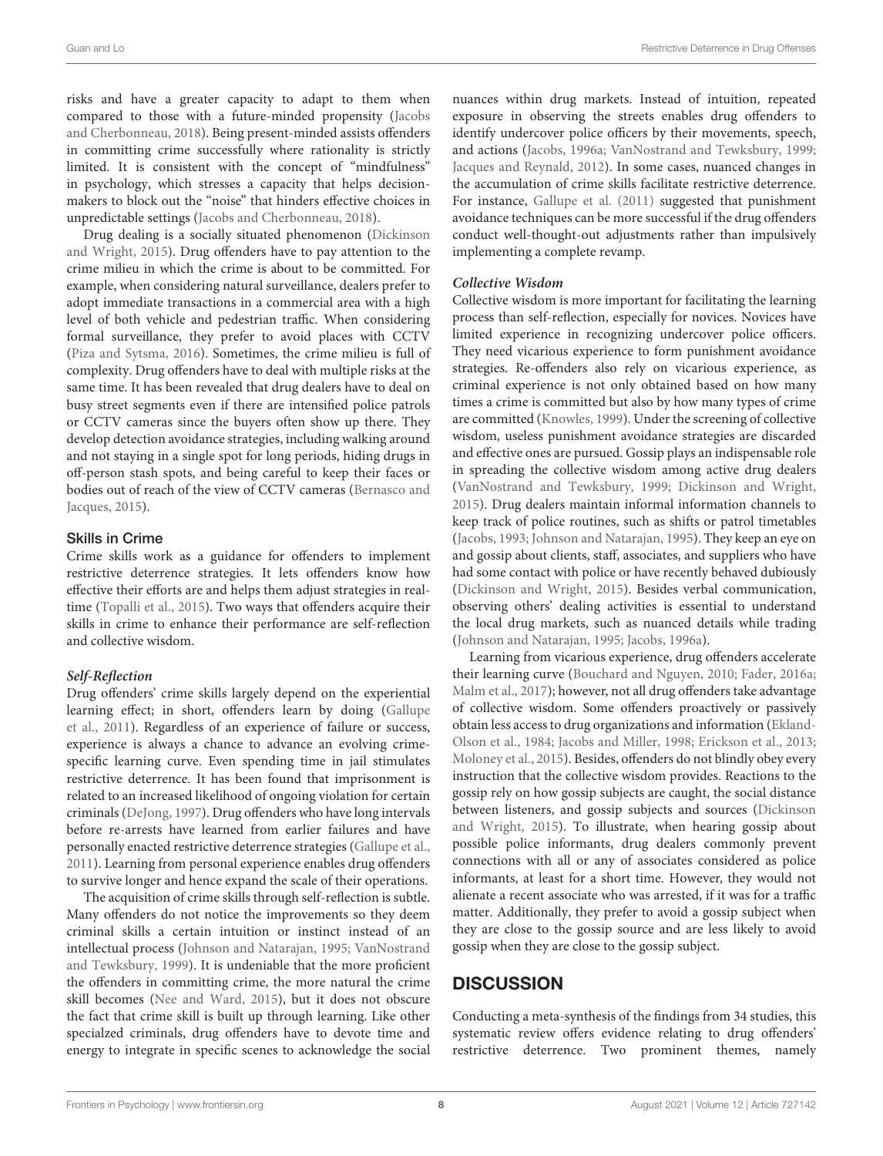risks and have a greater capacity to adapt to them when compared to those with a future-minded propensity (Jacobs and Cherbonneau, [2018\)](#page-11-30). Being present-minded assists offenders in committing crime successfully where rationality is strictly limited. It is consistent with the concept of "mindfulness" in psychology, which stresses a capacity that helps decisionmakers to block out the "noise" that hinders effective choices in unpredictable settings [\(Jacobs and Cherbonneau, 2018\)](#page-11-30).

Drug dealing is a socially situated phenomenon (Dickinson and Wright, [2015\)](#page-11-20). Drug offenders have to pay attention to the crime milieu in which the crime is about to be committed. For example, when considering natural surveillance, dealers prefer to adopt immediate transactions in a commercial area with a high level of both vehicle and pedestrian traffic. When considering formal surveillance, they prefer to avoid places with CCTV [\(Piza and Sytsma, 2016\)](#page-12-16). Sometimes, the crime milieu is full of complexity. Drug offenders have to deal with multiple risks at the same time. It has been revealed that drug dealers have to deal on busy street segments even if there are intensified police patrols or CCTV cameras since the buyers often show up there. They develop detection avoidance strategies, including walking around and not staying in a single spot for long periods, hiding drugs in off-person stash spots, and being careful to keep their faces or bodies out of reach of the view of CCTV cameras (Bernasco and Jacques, [2015\)](#page-11-31).

#### Skills in Crime

Crime skills work as a guidance for offenders to implement restrictive deterrence strategies. It lets offenders know how effective their efforts are and helps them adjust strategies in realtime [\(Topalli et al., 2015\)](#page-12-32). Two ways that offenders acquire their skills in crime to enhance their performance are self-reflection and collective wisdom.

#### **Self-Reflection**

Drug offenders' crime skills largely depend on the experiential learning effect; in short, offenders learn by doing (Gallupe et al., [2011\)](#page-11-7). Regardless of an experience of failure or success, experience is always a chance to advance an evolving crimespecific learning curve. Even spending time in jail stimulates restrictive deterrence. It has been found that imprisonment is related to an increased likelihood of ongoing violation for certain criminals [\(DeJong, 1997\)](#page-11-12). Drug offenders who have long intervals before re-arrests have learned from earlier failures and have personally enacted restrictive deterrence strategies [\(Gallupe et al.,](#page-11-7) [2011\)](#page-11-7). Learning from personal experience enables drug offenders to survive longer and hence expand the scale of their operations.

The acquisition of crime skills through self-reflection is subtle. Many offenders do not notice the improvements so they deem criminal skills a certain intuition or instinct instead of an intellectual process [\(Johnson and Natarajan, 1995;](#page-12-22) VanNostrand and Tewksbury, [1999\)](#page-12-13). It is undeniable that the more proficient the offenders in committing crime, the more natural the crime skill becomes [\(Nee and Ward, 2015\)](#page-12-33), but it does not obscure the fact that crime skill is built up through learning. Like other specialzed criminals, drug offenders have to devote time and energy to integrate in specific scenes to acknowledge the social nuances within drug markets. Instead of intuition, repeated exposure in observing the streets enables drug offenders to identify undercover police officers by their movements, speech, and actions [\(Jacobs, 1996a;](#page-11-1) [VanNostrand and Tewksbury, 1999;](#page-12-13) [Jacques and Reynald, 2012\)](#page-12-14). In some cases, nuanced changes in the accumulation of crime skills facilitate restrictive deterrence. For instance, [Gallupe et al. \(2011\)](#page-11-7) suggested that punishment avoidance techniques can be more successful if the drug offenders conduct well-thought-out adjustments rather than impulsively implementing a complete revamp.

#### **Collective Wisdom**

Collective wisdom is more important for facilitating the learning process than self-reflection, especially for novices. Novices have limited experience in recognizing undercover police officers. They need vicarious experience to form punishment avoidance strategies. Re-offenders also rely on vicarious experience, as criminal experience is not only obtained based on how many times a crime is committed but also by how many types of crime are committed [\(Knowles, 1999\)](#page-12-15). Under the screening of collective wisdom, useless punishment avoidance strategies are discarded and effective ones are pursued. Gossip plays an indispensable role in spreading the collective wisdom among active drug dealers [\(VanNostrand and Tewksbury, 1999;](#page-12-13) [Dickinson and Wright,](#page-11-20) [2015\)](#page-11-20). Drug dealers maintain informal information channels to keep track of police routines, such as shifts or patrol timetables [\(Jacobs, 1993;](#page-11-2) [Johnson and Natarajan, 1995\)](#page-12-22). They keep an eye on and gossip about clients, staff, associates, and suppliers who have had some contact with police or have recently behaved dubiously [\(Dickinson and Wright, 2015\)](#page-11-20). Besides verbal communication, observing others' dealing activities is essential to understand the local drug markets, such as nuanced details while trading [\(Johnson and Natarajan, 1995;](#page-12-22) [Jacobs, 1996a\)](#page-11-1).

Learning from vicarious experience, drug offenders accelerate their learning curve [\(Bouchard and Nguyen, 2010;](#page-11-32) [Fader, 2016a;](#page-11-33) [Malm et al., 2017\)](#page-12-34); however, not all drug offenders take advantage of collective wisdom. Some offenders proactively or passively obtain less access to drug organizations and information (Ekland-Olson et al., [1984;](#page-11-29) [Jacobs and Miller, 1998;](#page-11-4) [Erickson et al., 2013;](#page-11-34) [Moloney et al., 2015\)](#page-12-17). Besides, offenders do not blindly obey every instruction that the collective wisdom provides. Reactions to the gossip rely on how gossip subjects are caught, the social distance between listeners, and gossip subjects and sources (Dickinson and Wright, [2015\)](#page-11-20). To illustrate, when hearing gossip about possible police informants, drug dealers commonly prevent connections with all or any of associates considered as police informants, at least for a short time. However, they would not alienate a recent associate who was arrested, if it was for a traffic matter. Additionally, they prefer to avoid a gossip subject when they are close to the gossip source and are less likely to avoid gossip when they are close to the gossip subject.

# **DISCUSSION**

Conducting a meta-synthesis of the findings from 34 studies, this systematic review offers evidence relating to drug offenders' restrictive deterrence. Two prominent themes, namely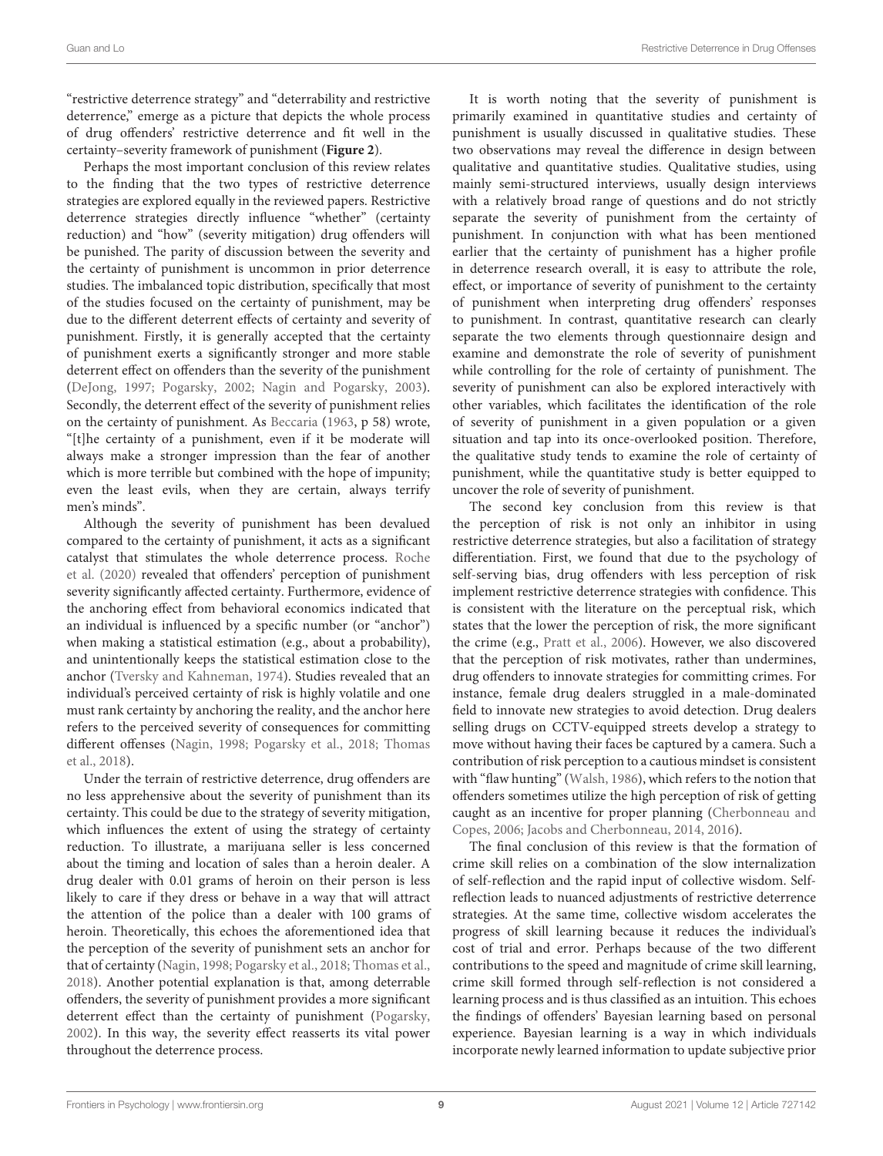"restrictive deterrence strategy" and "deterrability and restrictive deterrence," emerge as a picture that depicts the whole process of drug offenders' restrictive deterrence and fit well in the certainty–severity framework of punishment (**[Figure 2](#page-4-0)**).

Perhaps the most important conclusion of this review relates to the finding that the two types of restrictive deterrence strategies are explored equally in the reviewed papers. Restrictive deterrence strategies directly influence "whether" (certainty reduction) and "how" (severity mitigation) drug offenders will be punished. The parity of discussion between the severity and the certainty of punishment is uncommon in prior deterrence studies. The imbalanced topic distribution, specifically that most of the studies focused on the certainty of punishment, may be due to the different deterrent effects of certainty and severity of punishment. Firstly, it is generally accepted that the certainty of punishment exerts a significantly stronger and more stable deterrent effect on offenders than the severity of the punishment [\(DeJong, 1997;](#page-11-12) [Pogarsky, 2002;](#page-12-7) [Nagin and Pogarsky, 2003\)](#page-12-8). Secondly, the deterrent effect of the severity of punishment relies on the certainty of punishment. As [Beccaria](#page-11-35) [\(1963,](#page-11-35) p 58) wrote, "[t]he certainty of a punishment, even if it be moderate will always make a stronger impression than the fear of another which is more terrible but combined with the hope of impunity; even the least evils, when they are certain, always terrify men's minds".

Although the severity of punishment has been devalued compared to the certainty of punishment, it acts as a significant catalyst that stimulates the whole deterrence process. Roche et al. [\(2020\)](#page-12-25) revealed that offenders' perception of punishment severity significantly affected certainty. Furthermore, evidence of the anchoring effect from behavioral economics indicated that an individual is influenced by a specific number (or "anchor") when making a statistical estimation (e.g., about a probability), and unintentionally keeps the statistical estimation close to the anchor [\(Tversky and Kahneman, 1974\)](#page-12-35). Studies revealed that an individual's perceived certainty of risk is highly volatile and one must rank certainty by anchoring the reality, and the anchor here refers to the perceived severity of consequences for committing different offenses [\(Nagin, 1998;](#page-12-18) [Pogarsky et al., 2018;](#page-12-36) Thomas et al., [2018\)](#page-12-37).

Under the terrain of restrictive deterrence, drug offenders are no less apprehensive about the severity of punishment than its certainty. This could be due to the strategy of severity mitigation, which influences the extent of using the strategy of certainty reduction. To illustrate, a marijuana seller is less concerned about the timing and location of sales than a heroin dealer. A drug dealer with 0.01 grams of heroin on their person is less likely to care if they dress or behave in a way that will attract the attention of the police than a dealer with 100 grams of heroin. Theoretically, this echoes the aforementioned idea that the perception of the severity of punishment sets an anchor for that of certainty [\(Nagin, 1998;](#page-12-18) [Pogarsky et al., 2018;](#page-12-36) [Thomas et al.,](#page-12-37) [2018\)](#page-12-37). Another potential explanation is that, among deterrable offenders, the severity of punishment provides a more significant deterrent effect than the certainty of punishment [\(Pogarsky,](#page-12-7) [2002\)](#page-12-7). In this way, the severity effect reasserts its vital power throughout the deterrence process.

It is worth noting that the severity of punishment is primarily examined in quantitative studies and certainty of punishment is usually discussed in qualitative studies. These two observations may reveal the difference in design between qualitative and quantitative studies. Qualitative studies, using mainly semi-structured interviews, usually design interviews with a relatively broad range of questions and do not strictly separate the severity of punishment from the certainty of punishment. In conjunction with what has been mentioned earlier that the certainty of punishment has a higher profile in deterrence research overall, it is easy to attribute the role, effect, or importance of severity of punishment to the certainty of punishment when interpreting drug offenders' responses to punishment. In contrast, quantitative research can clearly separate the two elements through questionnaire design and examine and demonstrate the role of severity of punishment while controlling for the role of certainty of punishment. The severity of punishment can also be explored interactively with other variables, which facilitates the identification of the role of severity of punishment in a given population or a given situation and tap into its once-overlooked position. Therefore, the qualitative study tends to examine the role of certainty of punishment, while the quantitative study is better equipped to uncover the role of severity of punishment.

The second key conclusion from this review is that the perception of risk is not only an inhibitor in using restrictive deterrence strategies, but also a facilitation of strategy differentiation. First, we found that due to the psychology of self-serving bias, drug offenders with less perception of risk implement restrictive deterrence strategies with confidence. This is consistent with the literature on the perceptual risk, which states that the lower the perception of risk, the more significant the crime (e.g., [Pratt et al., 2006\)](#page-12-30). However, we also discovered that the perception of risk motivates, rather than undermines, drug offenders to innovate strategies for committing crimes. For instance, female drug dealers struggled in a male-dominated field to innovate new strategies to avoid detection. Drug dealers selling drugs on CCTV-equipped streets develop a strategy to move without having their faces be captured by a camera. Such a contribution of risk perception to a cautious mindset is consistent with "flaw hunting" [\(Walsh, 1986\)](#page-12-38), which refers to the notion that offenders sometimes utilize the high perception of risk of getting caught as an incentive for proper planning (Cherbonneau and Copes, [2006;](#page-11-5) [Jacobs and Cherbonneau, 2014,](#page-11-8) [2016\)](#page-11-26).

The final conclusion of this review is that the formation of crime skill relies on a combination of the slow internalization of self-reflection and the rapid input of collective wisdom. Selfreflection leads to nuanced adjustments of restrictive deterrence strategies. At the same time, collective wisdom accelerates the progress of skill learning because it reduces the individual's cost of trial and error. Perhaps because of the two different contributions to the speed and magnitude of crime skill learning, crime skill formed through self-reflection is not considered a learning process and is thus classified as an intuition. This echoes the findings of offenders' Bayesian learning based on personal experience. Bayesian learning is a way in which individuals incorporate newly learned information to update subjective prior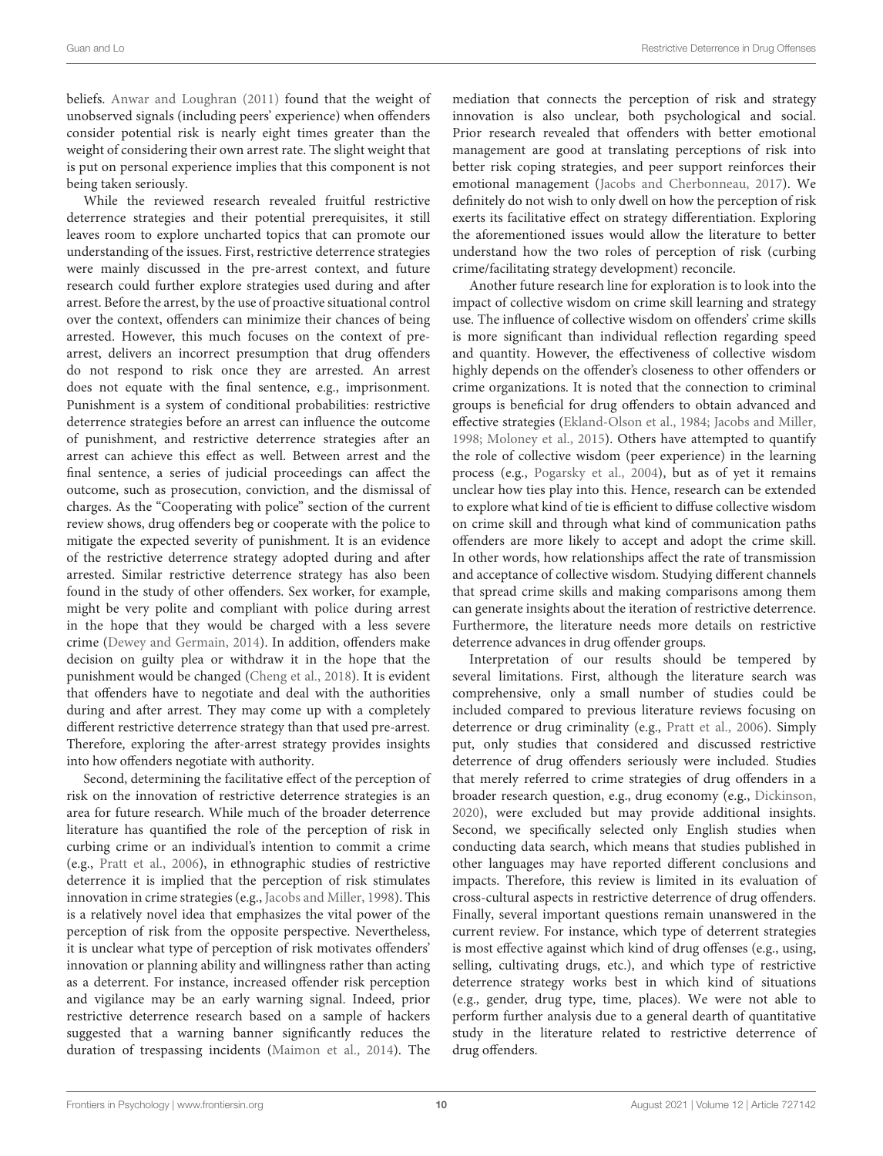beliefs. [Anwar and Loughran \(2011\)](#page-11-36) found that the weight of unobserved signals (including peers' experience) when offenders consider potential risk is nearly eight times greater than the weight of considering their own arrest rate. The slight weight that is put on personal experience implies that this component is not being taken seriously.

While the reviewed research revealed fruitful restrictive deterrence strategies and their potential prerequisites, it still leaves room to explore uncharted topics that can promote our understanding of the issues. First, restrictive deterrence strategies were mainly discussed in the pre-arrest context, and future research could further explore strategies used during and after arrest. Before the arrest, by the use of proactive situational control over the context, offenders can minimize their chances of being arrested. However, this much focuses on the context of prearrest, delivers an incorrect presumption that drug offenders do not respond to risk once they are arrested. An arrest does not equate with the final sentence, e.g., imprisonment. Punishment is a system of conditional probabilities: restrictive deterrence strategies before an arrest can influence the outcome of punishment, and restrictive deterrence strategies after an arrest can achieve this effect as well. Between arrest and the final sentence, a series of judicial proceedings can affect the outcome, such as prosecution, conviction, and the dismissal of charges. As the "Cooperating with police" section of the current review shows, drug offenders beg or cooperate with the police to mitigate the expected severity of punishment. It is an evidence of the restrictive deterrence strategy adopted during and after arrested. Similar restrictive deterrence strategy has also been found in the study of other offenders. Sex worker, for example, might be very polite and compliant with police during arrest in the hope that they would be charged with a less severe crime [\(Dewey and Germain, 2014\)](#page-11-37). In addition, offenders make decision on guilty plea or withdraw it in the hope that the punishment would be changed [\(Cheng et al., 2018\)](#page-11-38). It is evident that offenders have to negotiate and deal with the authorities during and after arrest. They may come up with a completely different restrictive deterrence strategy than that used pre-arrest. Therefore, exploring the after-arrest strategy provides insights into how offenders negotiate with authority.

Second, determining the facilitative effect of the perception of risk on the innovation of restrictive deterrence strategies is an area for future research. While much of the broader deterrence literature has quantified the role of the perception of risk in curbing crime or an individual's intention to commit a crime (e.g., [Pratt et al., 2006\)](#page-12-30), in ethnographic studies of restrictive deterrence it is implied that the perception of risk stimulates innovation in crime strategies (e.g., [Jacobs and Miller, 1998\)](#page-11-4). This is a relatively novel idea that emphasizes the vital power of the perception of risk from the opposite perspective. Nevertheless, it is unclear what type of perception of risk motivates offenders' innovation or planning ability and willingness rather than acting as a deterrent. For instance, increased offender risk perception and vigilance may be an early warning signal. Indeed, prior restrictive deterrence research based on a sample of hackers suggested that a warning banner significantly reduces the duration of trespassing incidents [\(Maimon et al., 2014\)](#page-12-0). The

mediation that connects the perception of risk and strategy innovation is also unclear, both psychological and social. Prior research revealed that offenders with better emotional management are good at translating perceptions of risk into better risk coping strategies, and peer support reinforces their emotional management [\(Jacobs and Cherbonneau, 2017\)](#page-11-27). We definitely do not wish to only dwell on how the perception of risk exerts its facilitative effect on strategy differentiation. Exploring the aforementioned issues would allow the literature to better understand how the two roles of perception of risk (curbing crime/facilitating strategy development) reconcile.

Another future research line for exploration is to look into the impact of collective wisdom on crime skill learning and strategy use. The influence of collective wisdom on offenders' crime skills is more significant than individual reflection regarding speed and quantity. However, the effectiveness of collective wisdom highly depends on the offender's closeness to other offenders or crime organizations. It is noted that the connection to criminal groups is beneficial for drug offenders to obtain advanced and effective strategies [\(Ekland-Olson et al., 1984;](#page-11-29) [Jacobs and Miller,](#page-11-4) [1998;](#page-11-4) [Moloney et al., 2015\)](#page-12-17). Others have attempted to quantify the role of collective wisdom (peer experience) in the learning process (e.g., [Pogarsky et al., 2004\)](#page-12-26), but as of yet it remains unclear how ties play into this. Hence, research can be extended to explore what kind of tie is efficient to diffuse collective wisdom on crime skill and through what kind of communication paths offenders are more likely to accept and adopt the crime skill. In other words, how relationships affect the rate of transmission and acceptance of collective wisdom. Studying different channels that spread crime skills and making comparisons among them can generate insights about the iteration of restrictive deterrence. Furthermore, the literature needs more details on restrictive deterrence advances in drug offender groups.

Interpretation of our results should be tempered by several limitations. First, although the literature search was comprehensive, only a small number of studies could be included compared to previous literature reviews focusing on deterrence or drug criminality (e.g., [Pratt et al., 2006\)](#page-12-30). Simply put, only studies that considered and discussed restrictive deterrence of drug offenders seriously were included. Studies that merely referred to crime strategies of drug offenders in a broader research question, e.g., drug economy (e.g., [Dickinson,](#page-11-39) [2020\)](#page-11-39), were excluded but may provide additional insights. Second, we specifically selected only English studies when conducting data search, which means that studies published in other languages may have reported different conclusions and impacts. Therefore, this review is limited in its evaluation of cross-cultural aspects in restrictive deterrence of drug offenders. Finally, several important questions remain unanswered in the current review. For instance, which type of deterrent strategies is most effective against which kind of drug offenses (e.g., using, selling, cultivating drugs, etc.), and which type of restrictive deterrence strategy works best in which kind of situations (e.g., gender, drug type, time, places). We were not able to perform further analysis due to a general dearth of quantitative study in the literature related to restrictive deterrence of drug offenders.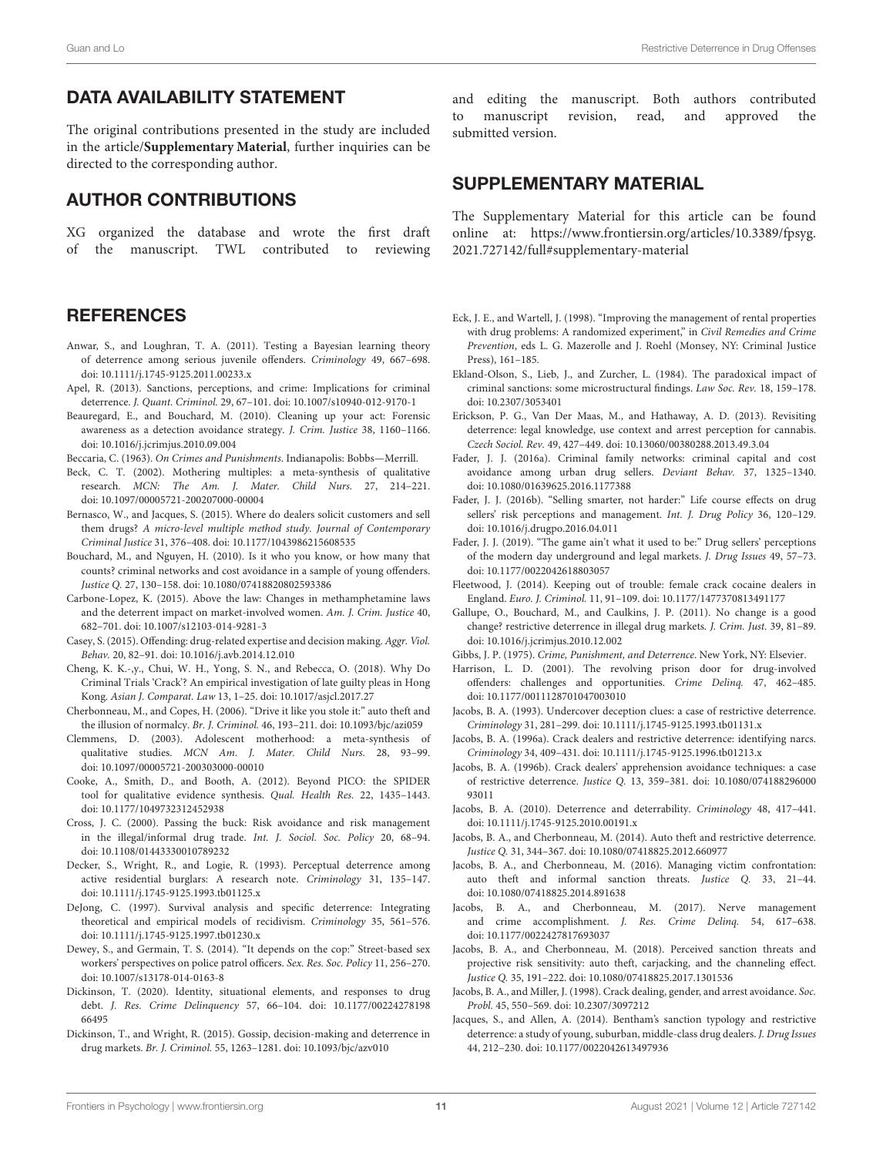# DATA AVAILABILITY STATEMENT

The original contributions presented in the study are included in the article/**[Supplementary Material](#page-11-17)**, further inquiries can be directed to the corresponding author.

# AUTHOR CONTRIBUTIONS

XG organized the database and wrote the first draft of the manuscript. TWL contributed to reviewing

# **REFERENCES**

- <span id="page-11-36"></span>Anwar, S., and Loughran, T. A. (2011). Testing a Bayesian learning theory of deterrence among serious juvenile offenders. Criminology 49, 667–698. doi: [10.1111/j.1745-9125.2011.00233.x](https://doi.org/10.1111/j.1745-9125.2011.00233.x)
- <span id="page-11-13"></span>Apel, R. (2013). Sanctions, perceptions, and crime: Implications for criminal deterrence. J. Quant. Criminol. 29, 67–101. doi: [10.1007/s10940-012-9170-1](https://doi.org/10.1007/s10940-012-9170-1)
- <span id="page-11-6"></span>Beauregard, E., and Bouchard, M. (2010). Cleaning up your act: Forensic awareness as a detection avoidance strategy. J. Crim. Justice 38, 1160–1166. doi: [10.1016/j.jcrimjus.2010.09.004](https://doi.org/10.1016/j.jcrimjus.2010.09.004)
- <span id="page-11-35"></span>Beccaria, C. (1963). On Crimes and Punishments. Indianapolis: Bobbs—Merrill.
- <span id="page-11-14"></span>Beck, C. T. (2002). Mothering multiples: a meta-synthesis of qualitative research. MCN: The Am. J. Mater. Child Nurs. 27, 214–221. doi: [10.1097/00005721-200207000-00004](https://doi.org/10.1097/00005721-200207000-00004)
- <span id="page-11-31"></span>Bernasco, W., and Jacques, S. (2015). Where do dealers solicit customers and sell them drugs? A micro-level multiple method study. Journal of Contemporary Criminal Justice 31, 376–408. doi: [10.1177/1043986215608535](https://doi.org/10.1177/1043986215608535)
- <span id="page-11-32"></span>Bouchard, M., and Nguyen, H. (2010). Is it who you know, or how many that counts? criminal networks and cost avoidance in a sample of young offenders. Justice Q. 27, 130–158. doi: [10.1080/07418820802593386](https://doi.org/10.1080/07418820802593386)
- <span id="page-11-22"></span>Carbone-Lopez, K. (2015). Above the law: Changes in methamphetamine laws and the deterrent impact on market-involved women. Am. J. Crim. Justice 40, 682–701. doi: [10.1007/s12103-014-9281-3](https://doi.org/10.1007/s12103-014-9281-3)
- <span id="page-11-10"></span>Casey, S. (2015). Offending: drug-related expertise and decision making. Aggr. Viol. Behav. 20, 82–91. doi: [10.1016/j.avb.2014.12.010](https://doi.org/10.1016/j.avb.2014.12.010)
- <span id="page-11-38"></span>Cheng, K. K.-,y., Chui, W. H., Yong, S. N., and Rebecca, O. (2018). Why Do Criminal Trials 'Crack'? An empirical investigation of late guilty pleas in Hong Kong. Asian J. Comparat. Law 13, 1–25. doi: [10.1017/asjcl.2017.27](https://doi.org/10.1017/asjcl.2017.27)
- <span id="page-11-5"></span>Cherbonneau, M., and Copes, H. (2006). "Drive it like you stole it:" auto theft and the illusion of normalcy. Br. J. Criminol. 46, 193–211. doi: [10.1093/bjc/azi059](https://doi.org/10.1093/bjc/azi059)
- <span id="page-11-15"></span>Clemmens, D. (2003). Adolescent motherhood: a meta-synthesis of qualitative studies. MCN Am. J. Mater. Child Nurs. 28, 93–99. doi: [10.1097/00005721-200303000-00010](https://doi.org/10.1097/00005721-200303000-00010)
- <span id="page-11-16"></span>Cooke, A., Smith, D., and Booth, A. (2012). Beyond PICO: the SPIDER tool for qualitative evidence synthesis. Qual. Health Res. 22, 1435–1443. doi: [10.1177/1049732312452938](https://doi.org/10.1177/1049732312452938)
- <span id="page-11-19"></span>Cross, J. C. (2000). Passing the buck: Risk avoidance and risk management in the illegal/informal drug trade. Int. J. Sociol. Soc. Policy 20, 68–94. doi: [10.1108/01443330010789232](https://doi.org/10.1108/01443330010789232)
- <span id="page-11-28"></span>Decker, S., Wright, R., and Logie, R. (1993). Perceptual deterrence among active residential burglars: A research note. Criminology 31, 135–147. doi: [10.1111/j.1745-9125.1993.tb01125.x](https://doi.org/10.1111/j.1745-9125.1993.tb01125.x)
- <span id="page-11-12"></span>DeJong, C. (1997). Survival analysis and specific deterrence: Integrating theoretical and empirical models of recidivism. Criminology 35, 561–576. doi: [10.1111/j.1745-9125.1997.tb01230.x](https://doi.org/10.1111/j.1745-9125.1997.tb01230.x)
- <span id="page-11-37"></span>Dewey, S., and Germain, T. S. (2014). "It depends on the cop:" Street-based sex workers' perspectives on police patrol officers. Sex. Res. Soc. Policy 11, 256–270. doi: [10.1007/s13178-014-0163-8](https://doi.org/10.1007/s13178-014-0163-8)
- <span id="page-11-39"></span>Dickinson, T. (2020). Identity, situational elements, and responses to drug debt. J. Res. Crime Delinquency [57, 66–104. doi: 10.1177/00224278198](https://doi.org/10.1177/0022427819866495) 66495
- <span id="page-11-20"></span>Dickinson, T., and Wright, R. (2015). Gossip, decision-making and deterrence in drug markets. Br. J. Criminol. 55, 1263–1281. doi: [10.1093/bjc/azv010](https://doi.org/10.1093/bjc/azv010)

and editing the manuscript. Both authors contributed to manuscript revision, read, and approved the submitted version.

# SUPPLEMENTARY MATERIAL

<span id="page-11-17"></span>The Supplementary Material for this article can be found [online at: https://www.frontiersin.org/articles/10.3389/fpsyg.](https://www.frontiersin.org/articles/10.3389/fpsyg.2021.727142/full#supplementary-material) 2021.727142/full#supplementary-material

- <span id="page-11-11"></span>Eck, J. E., and Wartell, J. (1998). "Improving the management of rental properties with drug problems: A randomized experiment," in Civil Remedies and Crime Prevention, eds L. G. Mazerolle and J. Roehl (Monsey, NY: Criminal Justice Press), 161–185.
- <span id="page-11-29"></span>Ekland-Olson, S., Lieb, J., and Zurcher, L. (1984). The paradoxical impact of criminal sanctions: some microstructural findings. Law Soc. Rev. 18, 159–178. doi: [10.2307/3053401](https://doi.org/10.2307/3053401)
- <span id="page-11-34"></span>Erickson, P. G., Van Der Maas, M., and Hathaway, A. D. (2013). Revisiting deterrence: legal knowledge, use context and arrest perception for cannabis. Czech Sociol. Rev. 49, 427–449. doi: [10.13060/00380288.2013.49.3.04](https://doi.org/10.13060/00380288.2013.49.3.04)
- <span id="page-11-33"></span>Fader, J. J. (2016a). Criminal family networks: criminal capital and cost avoidance among urban drug sellers. Deviant Behav. 37, 1325–1340. doi: [10.1080/01639625.2016.1177388](https://doi.org/10.1080/01639625.2016.1177388)
- <span id="page-11-23"></span>Fader, J. J. (2016b). "Selling smarter, not harder:" Life course effects on drug sellers' risk perceptions and management. Int. J. Drug Policy 36, 120–129. doi: [10.1016/j.drugpo.2016.04.011](https://doi.org/10.1016/j.drugpo.2016.04.011)
- <span id="page-11-24"></span>Fader, J. J. (2019). "The game ain't what it used to be:" Drug sellers' perceptions of the modern day underground and legal markets. J. Drug Issues 49, 57–73. doi: [10.1177/0022042618803057](https://doi.org/10.1177/0022042618803057)
- <span id="page-11-18"></span>Fleetwood, J. (2014). Keeping out of trouble: female crack cocaine dealers in England. Euro. J. Criminol. 11, 91–109. doi: [10.1177/1477370813491177](https://doi.org/10.1177/1477370813491177)
- <span id="page-11-7"></span>Gallupe, O., Bouchard, M., and Caulkins, J. P. (2011). No change is a good change? restrictive deterrence in illegal drug markets. J. Crim. Just. 39, 81–89. doi: [10.1016/j.jcrimjus.2010.12.002](https://doi.org/10.1016/j.jcrimjus.2010.12.002)

<span id="page-11-0"></span>Gibbs, J. P. (1975). Crime, Punishment, and Deterrence. New York, NY: Elsevier.

- <span id="page-11-9"></span>Harrison, L. D. (2001). The revolving prison door for drug-involved offenders: challenges and opportunities. Crime Delinq. 47, 462–485. doi: [10.1177/0011128701047003010](https://doi.org/10.1177/0011128701047003010)
- <span id="page-11-2"></span>Jacobs, B. A. (1993). Undercover deception clues: a case of restrictive deterrence. Criminology 31, 281–299. doi: [10.1111/j.1745-9125.1993.tb01131.x](https://doi.org/10.1111/j.1745-9125.1993.tb01131.x)
- <span id="page-11-1"></span>Jacobs, B. A. (1996a). Crack dealers and restrictive deterrence: identifying narcs. Criminology 34, 409–431. doi: [10.1111/j.1745-9125.1996.tb01213.x](https://doi.org/10.1111/j.1745-9125.1996.tb01213.x)
- <span id="page-11-3"></span>Jacobs, B. A. (1996b). Crack dealers' apprehension avoidance techniques: a case of restrictive deterrence. Justice Q. [13, 359–381. doi: 10.1080/074188296000](https://doi.org/10.1080/07418829600093011) 93011
- <span id="page-11-25"></span>Jacobs, B. A. (2010). Deterrence and deterrability. Criminology 48, 417–441. doi: [10.1111/j.1745-9125.2010.00191.x](https://doi.org/10.1111/j.1745-9125.2010.00191.x)
- <span id="page-11-8"></span>Jacobs, B. A., and Cherbonneau, M. (2014). Auto theft and restrictive deterrence. Justice Q. 31, 344–367. doi: [10.1080/07418825.2012.660977](https://doi.org/10.1080/07418825.2012.660977)
- <span id="page-11-26"></span>Jacobs, B. A., and Cherbonneau, M. (2016). Managing victim confrontation: auto theft and informal sanction threats. Justice Q. 33, 21–44. doi: [10.1080/07418825.2014.891638](https://doi.org/10.1080/07418825.2014.891638)
- <span id="page-11-27"></span>Jacobs, B. A., and Cherbonneau, M. (2017). Nerve management and crime accomplishment. J. Res. Crime Delinq. 54, 617–638. doi: [10.1177/0022427817693037](https://doi.org/10.1177/0022427817693037)
- <span id="page-11-30"></span>Jacobs, B. A., and Cherbonneau, M. (2018). Perceived sanction threats and projective risk sensitivity: auto theft, carjacking, and the channeling effect. Justice Q. 35, 191–222. doi: [10.1080/07418825.2017.1301536](https://doi.org/10.1080/07418825.2017.1301536)
- <span id="page-11-4"></span>Jacobs, B. A., and Miller, J. (1998). Crack dealing, gender, and arrest avoidance. Soc. Probl. 45, 550–569. doi: [10.2307/3097212](https://doi.org/10.2307/3097212)
- <span id="page-11-21"></span>Jacques, S., and Allen, A. (2014). Bentham's sanction typology and restrictive deterrence: a study of young, suburban, middle-class drug dealers. J. Drug Issues 44, 212–230. doi: [10.1177/0022042613497936](https://doi.org/10.1177/0022042613497936)